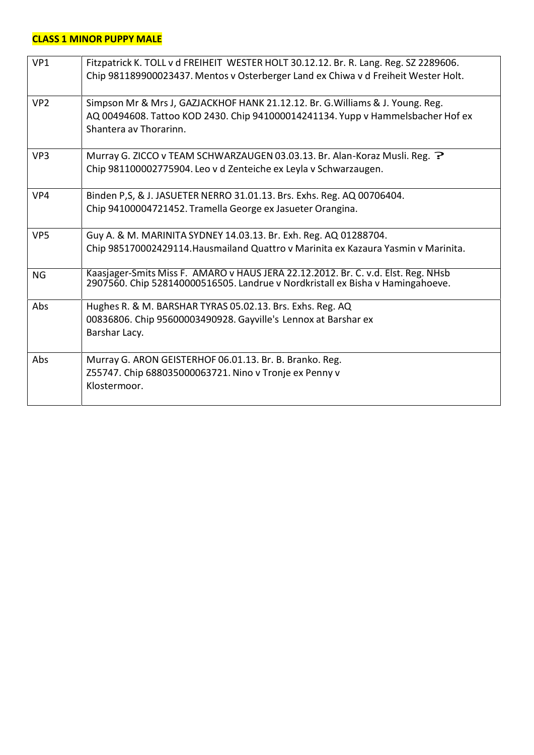#### **CLASS 1 MINOR PUPPY MALE**

| VP1             | Fitzpatrick K. TOLL v d FREIHEIT WESTER HOLT 30.12.12. Br. R. Lang. Reg. SZ 2289606.<br>Chip 981189900023437. Mentos v Osterberger Land ex Chiwa v d Freiheit Wester Holt.                  |
|-----------------|---------------------------------------------------------------------------------------------------------------------------------------------------------------------------------------------|
| VP <sub>2</sub> | Simpson Mr & Mrs J, GAZJACKHOF HANK 21.12.12. Br. G. Williams & J. Young. Reg.<br>AQ 00494608. Tattoo KOD 2430. Chip 941000014241134. Yupp v Hammelsbacher Hof ex<br>Shantera av Thorarinn. |
| VP <sub>3</sub> | Murray G. ZICCO v TEAM SCHWARZAUGEN 03.03.13. Br. Alan-Koraz Musli. Reg. ?<br>Chip 981100002775904. Leo v d Zenteiche ex Leyla v Schwarzaugen.                                              |
| VP4             | Binden P, S, & J. JASUETER NERRO 31.01.13. Brs. Exhs. Reg. AQ 00706404.<br>Chip 94100004721452. Tramella George ex Jasueter Orangina.                                                       |
| VP <sub>5</sub> | Guy A. & M. MARINITA SYDNEY 14.03.13. Br. Exh. Reg. AQ 01288704.<br>Chip 985170002429114. Hausmailand Quattro v Marinita ex Kazaura Yasmin v Marinita.                                      |
| <b>NG</b>       | Kaasjager-Smits Miss F. AMARO v HAUS JERA 22.12.2012. Br. C. v.d. Elst. Reg. NHsb<br>2907560. Chip 528140000516505. Landrue v Nordkristall ex Bisha v Hamingahoeve.                         |
| Abs             | Hughes R. & M. BARSHAR TYRAS 05.02.13. Brs. Exhs. Reg. AQ<br>00836806. Chip 95600003490928. Gayville's Lennox at Barshar ex<br>Barshar Lacy.                                                |
| Abs             | Murray G. ARON GEISTERHOF 06.01.13. Br. B. Branko. Reg.<br>Z55747. Chip 688035000063721. Nino v Tronje ex Penny v<br>Klostermoor.                                                           |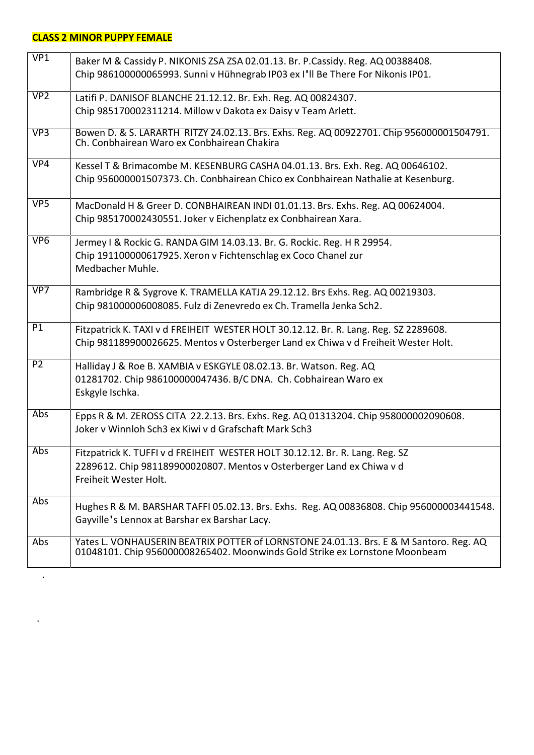## **CLASS 2 MINOR PUPPY FEMALE**

.

.

| VP1             | Baker M & Cassidy P. NIKONIS ZSA ZSA 02.01.13. Br. P.Cassidy. Reg. AQ 00388408.<br>Chip 986100000065993. Sunni v Hühnegrab IP03 ex I'll Be There For Nikonis IP01.             |
|-----------------|--------------------------------------------------------------------------------------------------------------------------------------------------------------------------------|
| VP <sub>2</sub> | Latifi P. DANISOF BLANCHE 21.12.12. Br. Exh. Reg. AQ 00824307.<br>Chip 985170002311214. Millow v Dakota ex Daisy v Team Arlett.                                                |
| VP3             | Bowen D. & S. LARARTH RITZY 24.02.13. Brs. Exhs. Reg. AQ 00922701. Chip 956000001504791. Ch. Conbhairean Waro ex Conbhairean Chakira                                           |
| VP4             | Kessel T & Brimacombe M. KESENBURG CASHA 04.01.13. Brs. Exh. Reg. AQ 00646102.<br>Chip 956000001507373. Ch. Conbhairean Chico ex Conbhairean Nathalie at Kesenburg.            |
| VP <sub>5</sub> | MacDonald H & Greer D. CONBHAIREAN INDI 01.01.13. Brs. Exhs. Reg. AQ 00624004.<br>Chip 985170002430551. Joker v Eichenplatz ex Conbhairean Xara.                               |
| VP <sub>6</sub> | Jermey I & Rockic G. RANDA GIM 14.03.13. Br. G. Rockic. Reg. H R 29954.<br>Chip 191100000617925. Xeron v Fichtenschlag ex Coco Chanel zur<br>Medbacher Muhle.                  |
| VP7             | Rambridge R & Sygrove K. TRAMELLA KATJA 29.12.12. Brs Exhs. Reg. AQ 00219303.<br>Chip 981000006008085. Fulz di Zenevredo ex Ch. Tramella Jenka Sch2.                           |
| P1              | Fitzpatrick K. TAXI v d FREIHEIT WESTER HOLT 30.12.12. Br. R. Lang. Reg. SZ 2289608.<br>Chip 981189900026625. Mentos v Osterberger Land ex Chiwa v d Freiheit Wester Holt.     |
| P <sub>2</sub>  | Halliday J & Roe B. XAMBIA v ESKGYLE 08.02.13. Br. Watson. Reg. AQ<br>01281702. Chip 986100000047436. B/C DNA. Ch. Cobhairean Waro ex<br>Eskgyle Ischka.                       |
| Abs             | Epps R & M. ZEROSS CITA 22.2.13. Brs. Exhs. Reg. AQ 01313204. Chip 958000002090608.<br>Joker v Winnloh Sch3 ex Kiwi v d Grafschaft Mark Sch3                                   |
| Abs             | Fitzpatrick K. TUFFI v d FREIHEIT WESTER HOLT 30.12.12. Br. R. Lang. Reg. SZ<br>2289612. Chip 981189900020807. Mentos v Osterberger Land ex Chiwa v d<br>Freiheit Wester Holt. |
| Abs             | Hughes R & M. BARSHAR TAFFI 05.02.13. Brs. Exhs. Reg. AQ 00836808. Chip 956000003441548.<br>Gayville's Lennox at Barshar ex Barshar Lacy.                                      |
| Abs             | Yates L. VONHAUSERIN BEATRIX POTTER of LORNSTONE 24.01.13. Brs. E & M Santoro. Reg. AQ<br>01048101. Chip 956000008265402. Moonwinds Gold Strike ex Lornstone Moonbeam          |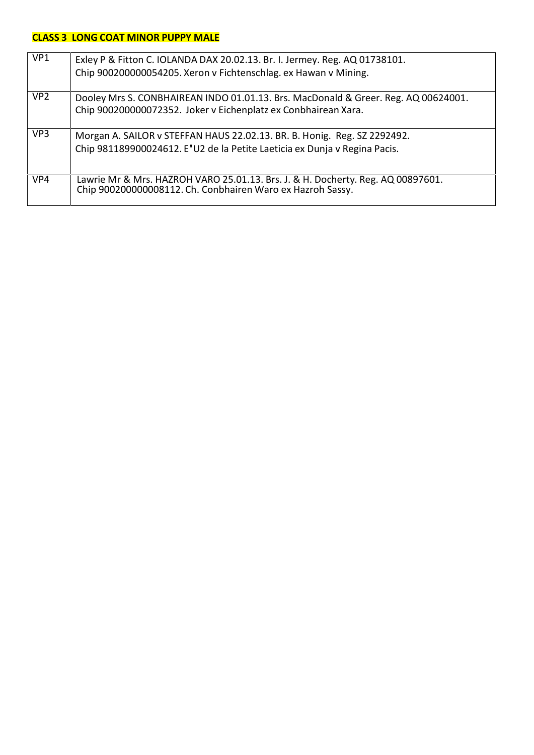## **CLASS 3 LONG COAT MINOR PUPPY MALE**

| VP <sub>1</sub> | Exley P & Fitton C. IOLANDA DAX 20.02.13. Br. I. Jermey. Reg. AQ 01738101.<br>Chip 900200000054205. Xeron v Fichtenschlag. ex Hawan v Mining.         |
|-----------------|-------------------------------------------------------------------------------------------------------------------------------------------------------|
| VP <sub>2</sub> | Dooley Mrs S. CONBHAIREAN INDO 01.01.13. Brs. MacDonald & Greer. Reg. AQ 00624001.<br>Chip 900200000072352. Joker v Eichenplatz ex Conbhairean Xara.  |
| VP <sub>3</sub> | Morgan A. SAILOR v STEFFAN HAUS 22.02.13. BR. B. Honig. Reg. SZ 2292492.<br>Chip 981189900024612. E'U2 de la Petite Laeticia ex Dunja v Regina Pacis. |
| VP4             | Lawrie Mr & Mrs. HAZROH VARO 25.01.13. Brs. J. & H. Docherty. Reg. AQ 00897601.<br>Chip 900200000008112. Ch. Conbhairen Waro ex Hazroh Sassy.         |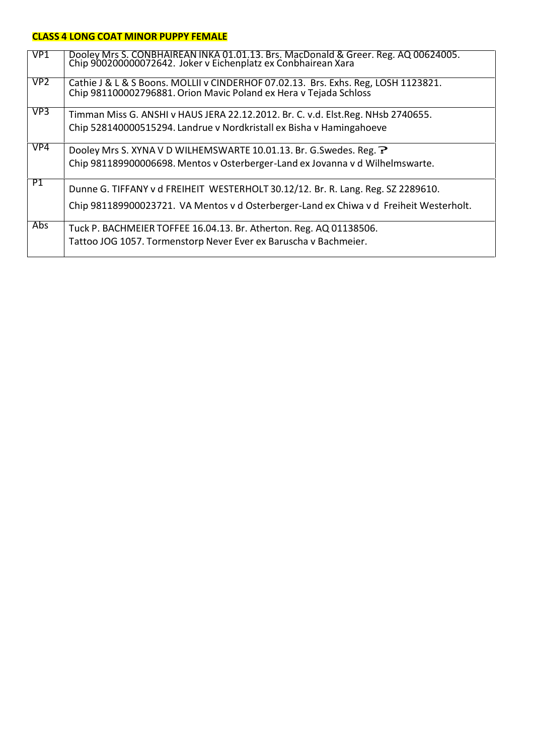#### **CLASS 4 LONG COAT MINOR PUPPY FEMALE**

| VP <sub>1</sub> | Dooley Mrs S. CONBHAIREAN INKA 01.01.13. Brs. MacDonald & Greer. Reg. AQ 00624005.<br>Chip 900200000072642. Joker v Eichenplatz ex Conbhairean Xara     |
|-----------------|---------------------------------------------------------------------------------------------------------------------------------------------------------|
| VP <sub>2</sub> | Cathie J & L & S Boons. MOLLII v CINDERHOF 07.02.13. Brs. Exhs. Reg, LOSH 1123821.<br>Chip 981100002796881. Orion Mavic Poland ex Hera v Tejada Schloss |
| VP <sub>3</sub> | Timman Miss G. ANSHI v HAUS JERA 22.12.2012. Br. C. v.d. Elst.Reg. NHsb 2740655.                                                                        |
|                 | Chip 528140000515294. Landrue v Nordkristall ex Bisha v Hamingahoeve                                                                                    |
| VP4             | Dooley Mrs S. XYNA V D WILHEMSWARTE 10.01.13. Br. G. Swedes. Reg. ?                                                                                     |
|                 | Chip 981189900006698. Mentos v Osterberger-Land ex Jovanna v d Wilhelmswarte.                                                                           |
| P1              | Dunne G. TIFFANY v d FREIHEIT WESTERHOLT 30.12/12. Br. R. Lang. Reg. SZ 2289610.                                                                        |
|                 | Chip 981189900023721. VA Mentos v d Osterberger-Land ex Chiwa v d Freiheit Westerholt.                                                                  |
| Abs.            | Tuck P. BACHMEIER TOFFEE 16.04.13. Br. Atherton. Reg. AQ 01138506.                                                                                      |
|                 | Tattoo JOG 1057. Tormenstorp Never Ever ex Baruscha v Bachmeier.                                                                                        |
|                 |                                                                                                                                                         |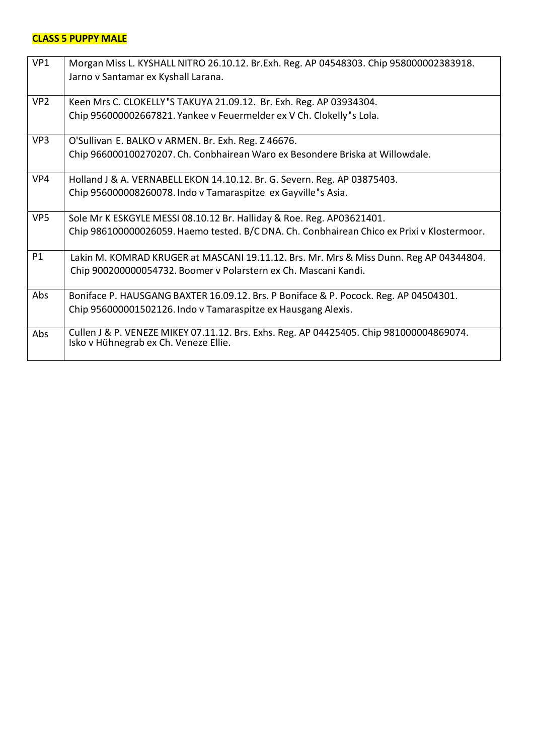### **CLASS 5 PUPPY MALE**

| VP1             | Morgan Miss L. KYSHALL NITRO 26.10.12. Br. Exh. Reg. AP 04548303. Chip 958000002383918.<br>Jarno v Santamar ex Kyshall Larana.                                      |
|-----------------|---------------------------------------------------------------------------------------------------------------------------------------------------------------------|
| VP <sub>2</sub> | Keen Mrs C. CLOKELLY'S TAKUYA 21.09.12. Br. Exh. Reg. AP 03934304.<br>Chip 956000002667821. Yankee v Feuermelder ex V Ch. Clokelly's Lola.                          |
| VP3             | O'Sullivan E. BALKO v ARMEN. Br. Exh. Reg. Z 46676.<br>Chip 966000100270207. Ch. Conbhairean Waro ex Besondere Briska at Willowdale.                                |
| VP4             | Holland J & A. VERNABELL EKON 14.10.12. Br. G. Severn. Reg. AP 03875403.<br>Chip 956000008260078. Indo v Tamaraspitze ex Gayville's Asia.                           |
| VP <sub>5</sub> | Sole Mr K ESKGYLE MESSI 08.10.12 Br. Halliday & Roe. Reg. AP03621401.<br>Chip 986100000026059. Haemo tested. B/C DNA. Ch. Conbhairean Chico ex Prixi v Klostermoor. |
| P <sub>1</sub>  | Lakin M. KOMRAD KRUGER at MASCANI 19.11.12. Brs. Mr. Mrs & Miss Dunn. Reg AP 04344804.<br>Chip 900200000054732. Boomer v Polarstern ex Ch. Mascani Kandi.           |
| Abs             | Boniface P. HAUSGANG BAXTER 16.09.12. Brs. P Boniface & P. Pocock. Reg. AP 04504301.<br>Chip 956000001502126. Indo v Tamaraspitze ex Hausgang Alexis.               |
| Abs             | Cullen J & P. VENEZE MIKEY 07.11.12. Brs. Exhs. Reg. AP 04425405. Chip 981000004869074.<br>Isko v Hühnegrab ex Ch. Veneze Ellie.                                    |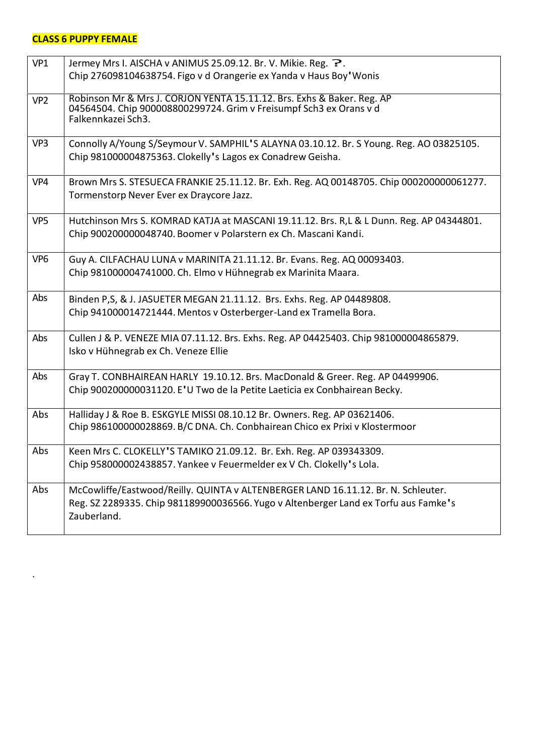## **CLASS 6 PUPPY FEMALE**

.

| VP1             | Jermey Mrs I. AISCHA v ANIMUS 25.09.12. Br. V. Mikie. Reg. ?.<br>Chip 276098104638754. Figo v d Orangerie ex Yanda v Haus Boy' Wonis                                                    |
|-----------------|-----------------------------------------------------------------------------------------------------------------------------------------------------------------------------------------|
| VP <sub>2</sub> | Robinson Mr & Mrs J. CORJON YENTA 15.11.12. Brs. Exhs & Baker. Reg. AP<br>04564504. Chip 900008800299724. Grim v Freisumpf Sch3 ex Orans v d<br>Falkennkazei Sch3.                      |
| VP3             | Connolly A/Young S/Seymour V. SAMPHIL'S ALAYNA 03.10.12. Br. S Young. Reg. AO 03825105.<br>Chip 981000004875363. Clokelly's Lagos ex Conadrew Geisha.                                   |
| VP4             | Brown Mrs S. STESUECA FRANKIE 25.11.12. Br. Exh. Reg. AQ 00148705. Chip 000200000061277.<br>Tormenstorp Never Ever ex Draycore Jazz.                                                    |
| VP <sub>5</sub> | Hutchinson Mrs S. KOMRAD KATJA at MASCANI 19.11.12. Brs. R,L & L Dunn. Reg. AP 04344801.<br>Chip 900200000048740. Boomer v Polarstern ex Ch. Mascani Kandi.                             |
| VP <sub>6</sub> | Guy A. CILFACHAU LUNA v MARINITA 21.11.12. Br. Evans. Reg. AQ 00093403.<br>Chip 981000004741000. Ch. Elmo v Hühnegrab ex Marinita Maara.                                                |
| Abs             | Binden P,S, & J. JASUETER MEGAN 21.11.12. Brs. Exhs. Reg. AP 04489808.<br>Chip 941000014721444. Mentos v Osterberger-Land ex Tramella Bora.                                             |
| Abs             | Cullen J & P. VENEZE MIA 07.11.12. Brs. Exhs. Reg. AP 04425403. Chip 981000004865879.<br>Isko v Hühnegrab ex Ch. Veneze Ellie                                                           |
| Abs             | Gray T. CONBHAIREAN HARLY 19.10.12. Brs. MacDonald & Greer. Reg. AP 04499906.<br>Chip 900200000031120. E'U Two de la Petite Laeticia ex Conbhairean Becky.                              |
| Abs             | Halliday J & Roe B. ESKGYLE MISSI 08.10.12 Br. Owners. Reg. AP 03621406.<br>Chip 986100000028869. B/C DNA. Ch. Conbhairean Chico ex Prixi v Klostermoor                                 |
| Abs             | Keen Mrs C. CLOKELLY'S TAMIKO 21.09.12. Br. Exh. Reg. AP 039343309.<br>Chip 958000002438857. Yankee v Feuermelder ex V Ch. Clokelly's Lola.                                             |
| Abs             | McCowliffe/Eastwood/Reilly. QUINTA v ALTENBERGER LAND 16.11.12. Br. N. Schleuter.<br>Reg. SZ 2289335. Chip 981189900036566. Yugo v Altenberger Land ex Torfu aus Famke's<br>Zauberland. |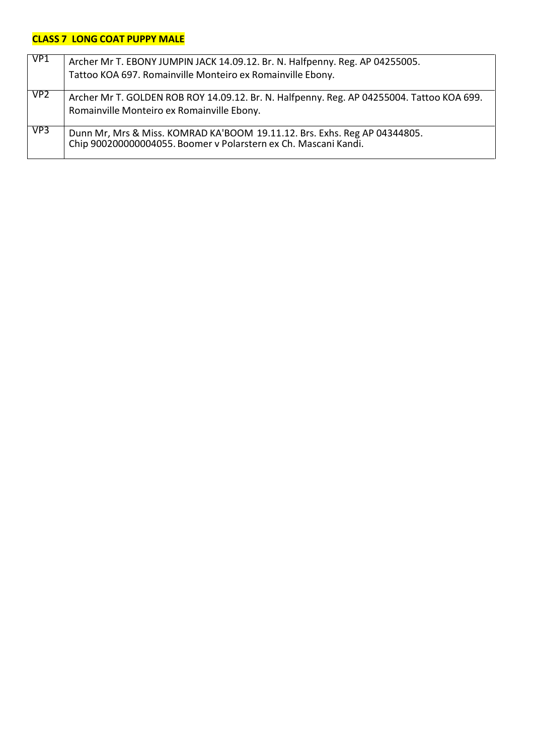## **CLASS 7 LONG COAT PUPPY MALE**

| VP1             | Archer Mr T. EBONY JUMPIN JACK 14.09.12. Br. N. Halfpenny. Reg. AP 04255005.<br>Tattoo KOA 697. Romainville Monteiro ex Romainville Ebony.   |
|-----------------|----------------------------------------------------------------------------------------------------------------------------------------------|
| VP <sub>2</sub> | Archer Mr T. GOLDEN ROB ROY 14.09.12. Br. N. Halfpenny. Reg. AP 04255004. Tattoo KOA 699.<br>Romainville Monteiro ex Romainville Ebony.      |
| VP3             | Dunn Mr, Mrs & Miss. KOMRAD KA'BOOM 19.11.12. Brs. Exhs. Reg AP 04344805.<br>Chip 900200000004055. Boomer v Polarstern ex Ch. Mascani Kandi. |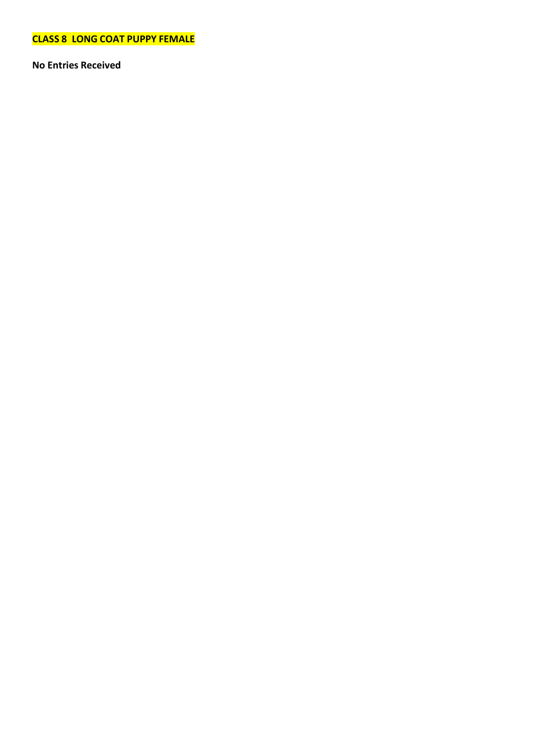**CLASS 8 LONG COAT PUPPY FEMALE**

**No Entries Received**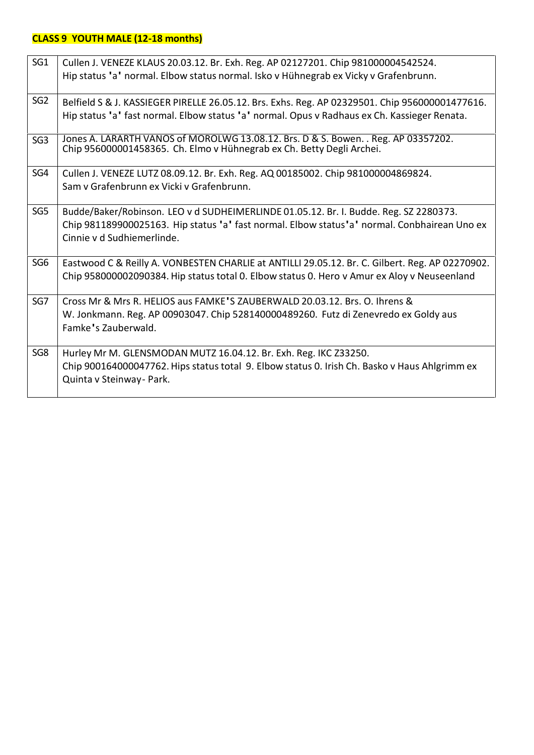## **CLASS 9 YOUTH MALE (12-18 months)**

| SG1             | Cullen J. VENEZE KLAUS 20.03.12. Br. Exh. Reg. AP 02127201. Chip 981000004542524.                                                                           |
|-----------------|-------------------------------------------------------------------------------------------------------------------------------------------------------------|
|                 | Hip status 'a' normal. Elbow status normal. Isko v Hühnegrab ex Vicky v Grafenbrunn.                                                                        |
| SG <sub>2</sub> | Belfield S & J. KASSIEGER PIRELLE 26.05.12. Brs. Exhs. Reg. AP 02329501. Chip 956000001477616.                                                              |
|                 | Hip status 'a' fast normal. Elbow status 'a' normal. Opus v Radhaus ex Ch. Kassieger Renata.                                                                |
| SG3             | Jones A. LARARTH VANOS of MOROLWG 13.08.12. Brs. D & S. Bowen. . Reg. AP 03357202.<br>Chip 956000001458365. Ch. Elmo v Hühnegrab ex Ch. Betty Degli Archei. |
| SG4             | Cullen J. VENEZE LUTZ 08.09.12. Br. Exh. Reg. AQ 00185002. Chip 981000004869824.                                                                            |
|                 | Sam v Grafenbrunn ex Vicki v Grafenbrunn.                                                                                                                   |
| SG5             | Budde/Baker/Robinson. LEO v d SUDHEIMERLINDE 01.05.12. Br. I. Budde. Reg. SZ 2280373.                                                                       |
|                 | Chip 981189900025163. Hip status 'a' fast normal. Elbow status'a' normal. Conbhairean Uno ex<br>Cinnie v d Sudhiemerlinde.                                  |
| SG <sub>6</sub> | Eastwood C & Reilly A. VONBESTEN CHARLIE at ANTILLI 29.05.12. Br. C. Gilbert. Reg. AP 02270902.                                                             |
|                 | Chip 958000002090384. Hip status total 0. Elbow status 0. Hero v Amur ex Aloy v Neuseenland                                                                 |
| SG7             | Cross Mr & Mrs R. HELIOS aus FAMKE'S ZAUBERWALD 20.03.12. Brs. O. Ihrens &                                                                                  |
|                 | W. Jonkmann. Reg. AP 00903047. Chip 528140000489260. Futz di Zenevredo ex Goldy aus                                                                         |
|                 | Famke's Zauberwald.                                                                                                                                         |
| SG8             | Hurley Mr M. GLENSMODAN MUTZ 16.04.12. Br. Exh. Reg. IKC Z33250.                                                                                            |
|                 | Chip 900164000047762. Hips status total 9. Elbow status 0. Irish Ch. Basko v Haus Ahlgrimm ex<br>Quinta v Steinway - Park.                                  |
|                 |                                                                                                                                                             |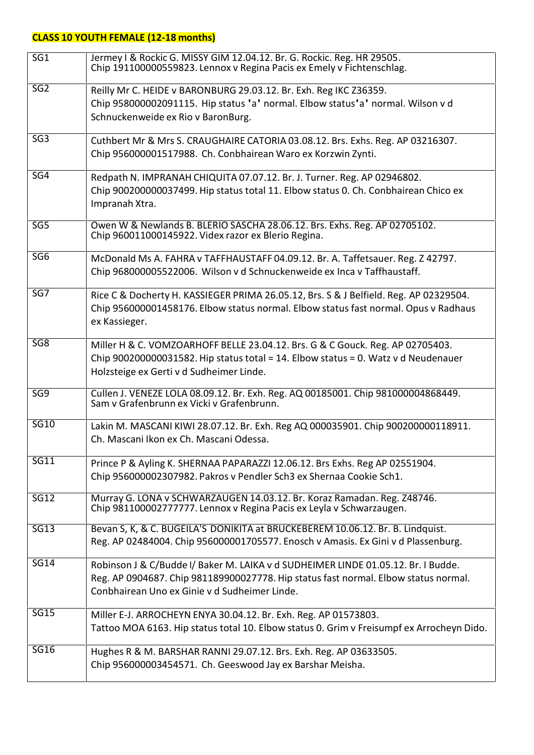# **CLASS 10 YOUTH FEMALE (12-18 months)**

| SG <sub>1</sub> | Jermey I & Rockic G. MISSY GIM 12.04.12. Br. G. Rockic. Reg. HR 29505.<br>Chip 191100000559823. Lennox v Regina Pacis ex Emely v Fichtenschlag.                                                                           |
|-----------------|---------------------------------------------------------------------------------------------------------------------------------------------------------------------------------------------------------------------------|
| SG <sub>2</sub> | Reilly Mr C. HEIDE v BARONBURG 29.03.12. Br. Exh. Reg IKC Z36359.<br>Chip 958000002091115. Hip status 'a' normal. Elbow status'a' normal. Wilson v d<br>Schnuckenweide ex Rio v BaronBurg.                                |
| SG <sub>3</sub> | Cuthbert Mr & Mrs S. CRAUGHAIRE CATORIA 03.08.12. Brs. Exhs. Reg. AP 03216307.<br>Chip 956000001517988. Ch. Conbhairean Waro ex Korzwin Zynti.                                                                            |
| SG4             | Redpath N. IMPRANAH CHIQUITA 07.07.12. Br. J. Turner. Reg. AP 02946802.<br>Chip 900200000037499. Hip status total 11. Elbow status 0. Ch. Conbhairean Chico ex<br>Impranah Xtra.                                          |
| SG <sub>5</sub> | Owen W & Newlands B. BLERIO SASCHA 28.06.12. Brs. Exhs. Reg. AP 02705102.<br>Chip 960011000145922. Videx razor ex Blerio Regina.                                                                                          |
| SG <sub>6</sub> | McDonald Ms A. FAHRA v TAFFHAUSTAFF 04.09.12. Br. A. Taffetsauer. Reg. Z 42797.<br>Chip 968000005522006. Wilson v d Schnuckenweide ex Inca v Taffhaustaff.                                                                |
| SG7             | Rice C & Docherty H. KASSIEGER PRIMA 26.05.12, Brs. S & J Belfield. Reg. AP 02329504.<br>Chip 956000001458176. Elbow status normal. Elbow status fast normal. Opus v Radhaus<br>ex Kassieger.                             |
| SG8             | Miller H & C. VOMZOARHOFF BELLE 23.04.12. Brs. G & C Gouck. Reg. AP 02705403.<br>Chip 900200000031582. Hip status total = 14. Elbow status = 0. Watz v d Neudenauer<br>Holzsteige ex Gerti v d Sudheimer Linde.           |
| SG <sub>9</sub> | Cullen J. VENEZE LOLA 08.09.12. Br. Exh. Reg. AQ 00185001. Chip 981000004868449.<br>Sam v Grafenbrunn ex Vicki v Grafenbrunn.                                                                                             |
| <b>SG10</b>     | Lakin M. MASCANI KIWI 28.07.12. Br. Exh. Reg AQ 000035901. Chip 900200000118911.<br>Ch. Mascani Ikon ex Ch. Mascani Odessa.                                                                                               |
| SG11            | Prince P & Ayling K. SHERNAA PAPARAZZI 12.06.12. Brs Exhs. Reg AP 02551904.<br>Chip 956000002307982. Pakros v Pendler Sch3 ex Shernaa Cookie Sch1.                                                                        |
| <b>SG12</b>     | Murray G. LONA v SCHWARZAUGEN 14.03.12. Br. Koraz Ramadan. Reg. Z48746.<br>Chip 981100002777777. Lennox v Regina Pacis ex Leyla v Schwarzaugen.                                                                           |
| SG13            | Bevan S, K, & C. BUGEILA'S DONIKITA at BRUCKEBEREM 10.06.12. Br. B. Lindquist.<br>Reg. AP 02484004. Chip 956000001705577. Enosch v Amasis. Ex Gini v d Plassenburg.                                                       |
| <b>SG14</b>     | Robinson J & C/Budde I/ Baker M. LAIKA v d SUDHEIMER LINDE 01.05.12. Br. I Budde.<br>Reg. AP 0904687. Chip 981189900027778. Hip status fast normal. Elbow status normal.<br>Conbhairean Uno ex Ginie y d Sudheimer Linde. |
| <b>SG15</b>     | Miller E-J. ARROCHEYN ENYA 30.04.12. Br. Exh. Reg. AP 01573803.<br>Tattoo MOA 6163. Hip status total 10. Elbow status 0. Grim v Freisumpf ex Arrocheyn Dido.                                                              |
| <b>SG16</b>     | Hughes R & M. BARSHAR RANNI 29.07.12. Brs. Exh. Reg. AP 03633505.<br>Chip 956000003454571. Ch. Geeswood Jay ex Barshar Meisha.                                                                                            |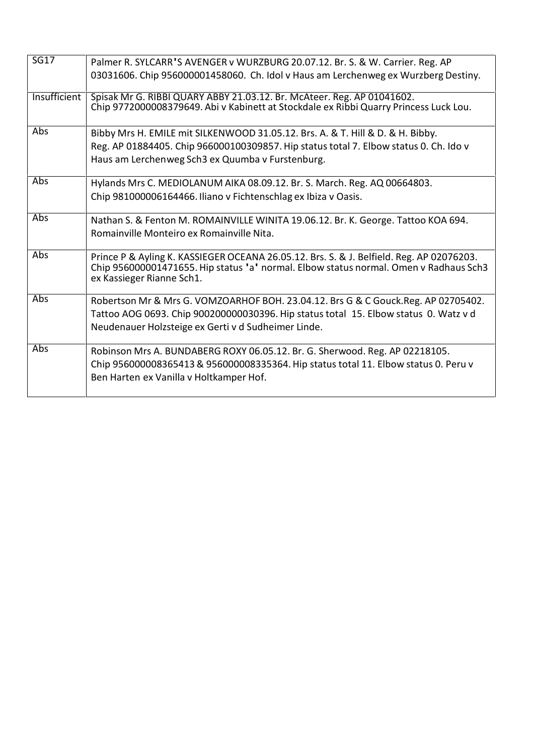| <b>SG17</b>  | Palmer R. SYLCARR'S AVENGER v WURZBURG 20.07.12. Br. S. & W. Carrier. Reg. AP                                                                                                                                  |
|--------------|----------------------------------------------------------------------------------------------------------------------------------------------------------------------------------------------------------------|
|              | 03031606. Chip 956000001458060. Ch. Idol v Haus am Lerchenweg ex Wurzberg Destiny.                                                                                                                             |
| Insufficient | Spisak Mr G. RIBBI QUARY ABBY 21.03.12. Br. McAteer. Reg. AP 01041602.<br>Chip 9772000008379649. Abi v Kabinett at Stockdale ex Ribbi Quarry Princess Luck Lou.                                                |
| Abs          | Bibby Mrs H. EMILE mit SILKENWOOD 31.05.12. Brs. A. & T. Hill & D. & H. Bibby.                                                                                                                                 |
|              | Reg. AP 01884405. Chip 966000100309857. Hip status total 7. Elbow status 0. Ch. Ido v                                                                                                                          |
|              | Haus am Lerchenweg Sch3 ex Quumba v Furstenburg.                                                                                                                                                               |
| Abs          | Hylands Mrs C. MEDIOLANUM AIKA 08.09.12. Br. S. March. Reg. AQ 00664803.                                                                                                                                       |
|              | Chip 981000006164466. Iliano v Fichtenschlag ex Ibiza v Oasis.                                                                                                                                                 |
| Abs          | Nathan S. & Fenton M. ROMAINVILLE WINITA 19.06.12. Br. K. George. Tattoo KOA 694.                                                                                                                              |
|              | Romainville Monteiro ex Romainville Nita.                                                                                                                                                                      |
| Abs          | Prince P & Ayling K. KASSIEGER OCEANA 26.05.12. Brs. S. & J. Belfield. Reg. AP 02076203.<br>Chip 956000001471655. Hip status 'a' normal. Elbow status normal. Omen v Radhaus Sch3<br>ex Kassieger Rianne Sch1. |
| Abs          | Robertson Mr & Mrs G. VOMZOARHOF BOH. 23.04.12. Brs G & C Gouck.Reg. AP 02705402.                                                                                                                              |
|              | Tattoo AOG 0693. Chip 900200000030396. Hip status total 15. Elbow status 0. Watz v d                                                                                                                           |
|              | Neudenauer Holzsteige ex Gerti v d Sudheimer Linde.                                                                                                                                                            |
| Abs          | Robinson Mrs A. BUNDABERG ROXY 06.05.12. Br. G. Sherwood. Reg. AP 02218105.                                                                                                                                    |
|              | Chip 956000008365413 & 956000008335364. Hip status total 11. Elbow status 0. Peru v                                                                                                                            |
|              | Ben Harten ex Vanilla v Holtkamper Hof.                                                                                                                                                                        |
|              |                                                                                                                                                                                                                |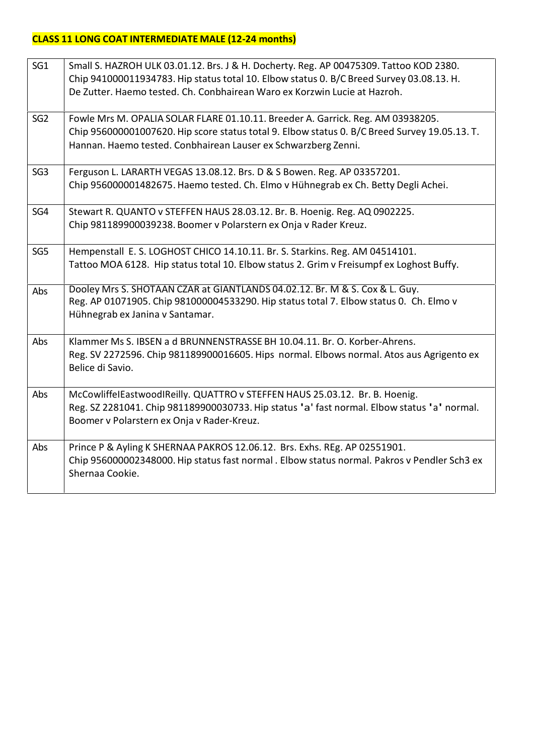## **CLASS 11 LONG COAT INTERMEDIATE MALE (12-24 months)**

| SG <sub>1</sub> | Small S. HAZROH ULK 03.01.12. Brs. J & H. Docherty. Reg. AP 00475309. Tattoo KOD 2380.<br>Chip 941000011934783. Hip status total 10. Elbow status 0. B/C Breed Survey 03.08.13. H.<br>De Zutter. Haemo tested. Ch. Conbhairean Waro ex Korzwin Lucie at Hazroh. |
|-----------------|-----------------------------------------------------------------------------------------------------------------------------------------------------------------------------------------------------------------------------------------------------------------|
| SG <sub>2</sub> | Fowle Mrs M. OPALIA SOLAR FLARE 01.10.11. Breeder A. Garrick. Reg. AM 03938205.<br>Chip 956000001007620. Hip score status total 9. Elbow status 0. B/C Breed Survey 19.05.13. T.<br>Hannan. Haemo tested. Conbhairean Lauser ex Schwarzberg Zenni.              |
| SG <sub>3</sub> | Ferguson L. LARARTH VEGAS 13.08.12. Brs. D & S Bowen. Reg. AP 03357201.<br>Chip 956000001482675. Haemo tested. Ch. Elmo v Hühnegrab ex Ch. Betty Degli Achei.                                                                                                   |
| SG4             | Stewart R. QUANTO v STEFFEN HAUS 28.03.12. Br. B. Hoenig. Reg. AQ 0902225.<br>Chip 981189900039238. Boomer v Polarstern ex Onja v Rader Kreuz.                                                                                                                  |
| SG <sub>5</sub> | Hempenstall E. S. LOGHOST CHICO 14.10.11. Br. S. Starkins. Reg. AM 04514101.<br>Tattoo MOA 6128. Hip status total 10. Elbow status 2. Grim v Freisumpf ex Loghost Buffy.                                                                                        |
| Abs             | Dooley Mrs S. SHOTAAN CZAR at GIANTLANDS 04.02.12. Br. M & S. Cox & L. Guy.<br>Reg. AP 01071905. Chip 981000004533290. Hip status total 7. Elbow status 0. Ch. Elmo v<br>Hühnegrab ex Janina v Santamar.                                                        |
| Abs             | Klammer Ms S. IBSEN a d BRUNNENSTRASSE BH 10.04.11. Br. O. Korber-Ahrens.<br>Reg. SV 2272596. Chip 981189900016605. Hips normal. Elbows normal. Atos aus Agrigento ex<br>Belice di Savio.                                                                       |
| Abs             | McCowliffelEastwoodIReilly. QUATTRO v STEFFEN HAUS 25.03.12. Br. B. Hoenig.<br>Reg. SZ 2281041. Chip 981189900030733. Hip status 'a' fast normal. Elbow status 'a' normal.<br>Boomer v Polarstern ex Onja v Rader-Kreuz.                                        |
| Abs             | Prince P & Ayling K SHERNAA PAKROS 12.06.12. Brs. Exhs. REg. AP 02551901.<br>Chip 956000002348000. Hip status fast normal . Elbow status normal. Pakros v Pendler Sch3 ex<br>Shernaa Cookie.                                                                    |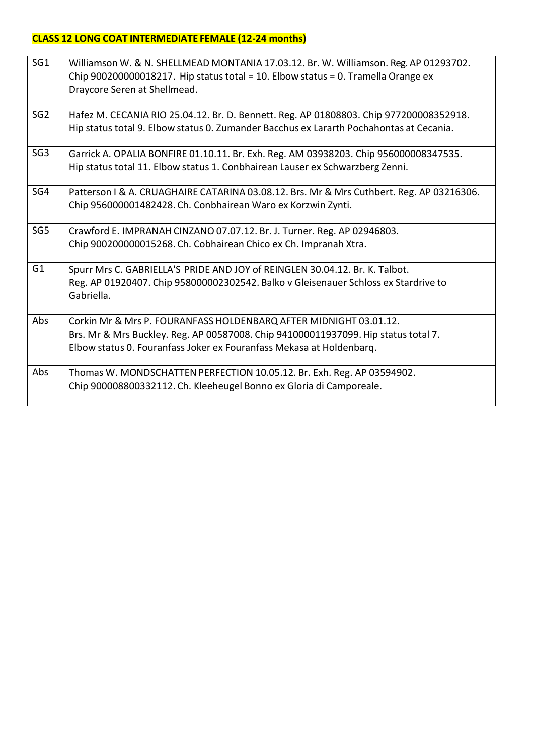## **CLASS 12 LONG COAT INTERMEDIATE FEMALE (12-24 months)**

| SG <sub>1</sub> | Williamson W. & N. SHELLMEAD MONTANIA 17.03.12. Br. W. Williamson. Reg. AP 01293702.<br>Chip 900200000018217. Hip status total = 10. Elbow status = 0. Tramella Orange ex<br>Draycore Seren at Shellmead.                       |
|-----------------|---------------------------------------------------------------------------------------------------------------------------------------------------------------------------------------------------------------------------------|
| SG <sub>2</sub> | Hafez M. CECANIA RIO 25.04.12. Br. D. Bennett. Reg. AP 01808803. Chip 977200008352918.<br>Hip status total 9. Elbow status 0. Zumander Bacchus ex Lararth Pochahontas at Cecania.                                               |
| SG <sub>3</sub> | Garrick A. OPALIA BONFIRE 01.10.11. Br. Exh. Reg. AM 03938203. Chip 956000008347535.<br>Hip status total 11. Elbow status 1. Conbhairean Lauser ex Schwarzberg Zenni.                                                           |
| SG4             | Patterson I & A. CRUAGHAIRE CATARINA 03.08.12. Brs. Mr & Mrs Cuthbert. Reg. AP 03216306.<br>Chip 956000001482428. Ch. Conbhairean Waro ex Korzwin Zynti.                                                                        |
| SG5             | Crawford E. IMPRANAH CINZANO 07.07.12. Br. J. Turner. Reg. AP 02946803.<br>Chip 900200000015268. Ch. Cobhairean Chico ex Ch. Impranah Xtra.                                                                                     |
| G <sub>1</sub>  | Spurr Mrs C. GABRIELLA'S PRIDE AND JOY of REINGLEN 30.04.12. Br. K. Talbot.<br>Reg. AP 01920407. Chip 958000002302542. Balko v Gleisenauer Schloss ex Stardrive to<br>Gabriella.                                                |
| Abs             | Corkin Mr & Mrs P. FOURANFASS HOLDENBARQ AFTER MIDNIGHT 03.01.12.<br>Brs. Mr & Mrs Buckley. Reg. AP 00587008. Chip 941000011937099. Hip status total 7.<br>Elbow status 0. Fouranfass Joker ex Fouranfass Mekasa at Holdenbarq. |
| Abs             | Thomas W. MONDSCHATTEN PERFECTION 10.05.12. Br. Exh. Reg. AP 03594902.<br>Chip 900008800332112. Ch. Kleeheugel Bonno ex Gloria di Camporeale.                                                                                   |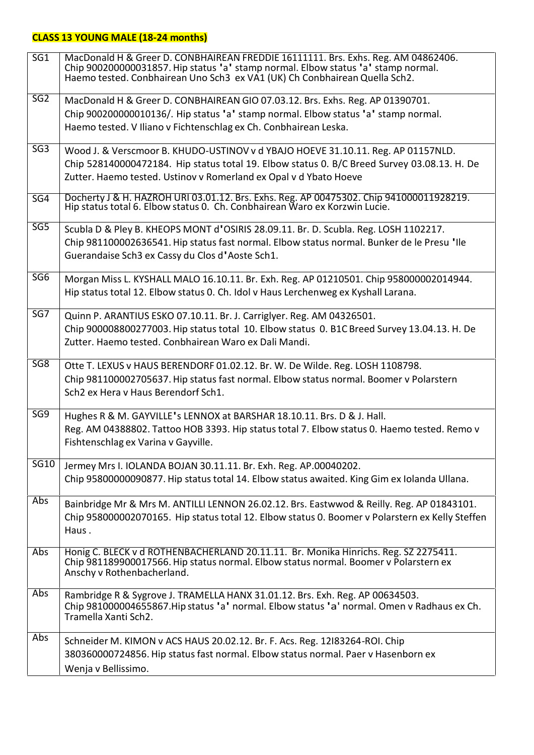# **CLASS 13 YOUNG MALE (18-24 months)**

| SG <sub>1</sub> | MacDonald H & Greer D. CONBHAIREAN FREDDIE 16111111. Brs. Exhs. Reg. AM 04862406.<br>Chip 900200000031857. Hip status 'a' stamp normal. Elbow status 'a' stamp normal.<br>Haemo tested. Conbhairean Uno Sch3 ex VA1 (UK) Ch Conbhairean Quella Sch2. |
|-----------------|------------------------------------------------------------------------------------------------------------------------------------------------------------------------------------------------------------------------------------------------------|
| SG <sub>2</sub> | MacDonald H & Greer D. CONBHAIREAN GIO 07.03.12. Brs. Exhs. Reg. AP 01390701.                                                                                                                                                                        |
|                 | Chip 900200000010136/. Hip status 'a' stamp normal. Elbow status 'a' stamp normal.                                                                                                                                                                   |
|                 | Haemo tested. V Iliano v Fichtenschlag ex Ch. Conbhairean Leska.                                                                                                                                                                                     |
| SG <sub>3</sub> | Wood J. & Verscmoor B. KHUDO-USTINOV v d YBAJO HOEVE 31.10.11. Reg. AP 01157NLD.                                                                                                                                                                     |
|                 | Chip 528140000472184. Hip status total 19. Elbow status 0. B/C Breed Survey 03.08.13. H. De                                                                                                                                                          |
|                 | Zutter. Haemo tested. Ustinov v Romerland ex Opal v d Ybato Hoeve                                                                                                                                                                                    |
| SG4             | Docherty J & H. HAZROH URI 03.01.12. Brs. Exhs. Reg. AP 00475302. Chip 941000011928219.<br>Hip status total 6. Elbow status 0. Ch. Conbhairean Waro ex Korzwin Lucie.                                                                                |
| SG <sub>5</sub> | Scubla D & Pley B. KHEOPS MONT d'OSIRIS 28.09.11. Br. D. Scubla. Reg. LOSH 1102217.                                                                                                                                                                  |
|                 | Chip 981100002636541. Hip status fast normal. Elbow status normal. Bunker de le Presu 'Ile                                                                                                                                                           |
|                 | Guerandaise Sch3 ex Cassy du Clos d'Aoste Sch1.                                                                                                                                                                                                      |
| SG <sub>6</sub> | Morgan Miss L. KYSHALL MALO 16.10.11. Br. Exh. Reg. AP 01210501. Chip 958000002014944.                                                                                                                                                               |
|                 | Hip status total 12. Elbow status 0. Ch. Idol v Haus Lerchenweg ex Kyshall Larana.                                                                                                                                                                   |
|                 |                                                                                                                                                                                                                                                      |
| SG7             | Quinn P. ARANTIUS ESKO 07.10.11. Br. J. Carriglyer. Reg. AM 04326501.                                                                                                                                                                                |
|                 | Chip 900008800277003. Hip status total 10. Elbow status 0. B1C Breed Survey 13.04.13. H. De                                                                                                                                                          |
|                 | Zutter. Haemo tested. Conbhairean Waro ex Dali Mandi.                                                                                                                                                                                                |
| SG <sub>8</sub> | Otte T. LEXUS v HAUS BERENDORF 01.02.12. Br. W. De Wilde. Reg. LOSH 1108798.                                                                                                                                                                         |
|                 | Chip 981100002705637. Hip status fast normal. Elbow status normal. Boomer v Polarstern                                                                                                                                                               |
|                 | Sch2 ex Hera v Haus Berendorf Sch1.                                                                                                                                                                                                                  |
| SG9             | Hughes R & M. GAYVILLE's LENNOX at BARSHAR 18.10.11. Brs. D & J. Hall.                                                                                                                                                                               |
|                 | Reg. AM 04388802. Tattoo HOB 3393. Hip status total 7. Elbow status 0. Haemo tested. Remo v                                                                                                                                                          |
|                 | Fishtenschlag ex Varina v Gayville.                                                                                                                                                                                                                  |
| <b>SG10</b>     | Jermey Mrs I. IOLANDA BOJAN 30.11.11. Br. Exh. Reg. AP.00040202.                                                                                                                                                                                     |
|                 | Chip 95800000090877. Hip status total 14. Elbow status awaited. King Gim ex Iolanda Ullana.                                                                                                                                                          |
|                 |                                                                                                                                                                                                                                                      |
| Abs             | Bainbridge Mr & Mrs M. ANTILLI LENNON 26.02.12. Brs. Eastwwod & Reilly. Reg. AP 01843101.                                                                                                                                                            |
|                 | Chip 958000002070165. Hip status total 12. Elbow status 0. Boomer v Polarstern ex Kelly Steffen                                                                                                                                                      |
|                 | Haus.                                                                                                                                                                                                                                                |
| Abs             | Honig C. BLECK v d ROTHENBACHERLAND 20.11.11. Br. Monika Hinrichs. Reg. SZ 2275411.                                                                                                                                                                  |
|                 | Chip 981189900017566. Hip status normal. Elbow status normal. Boomer v Polarstern ex                                                                                                                                                                 |
|                 | Anschy v Rothenbacherland.                                                                                                                                                                                                                           |
| Abs             | Rambridge R & Sygrove J. TRAMELLA HANX 31.01.12. Brs. Exh. Reg. AP 00634503.                                                                                                                                                                         |
|                 | Chip 981000004655867. Hip status 'a' normal. Elbow status 'a' normal. Omen v Radhaus ex Ch.                                                                                                                                                          |
|                 | Tramella Xanti Sch2.                                                                                                                                                                                                                                 |
| Abs             | Schneider M. KIMON v ACS HAUS 20.02.12. Br. F. Acs. Reg. 12183264-ROI. Chip                                                                                                                                                                          |
|                 | 380360000724856. Hip status fast normal. Elbow status normal. Paer v Hasenborn ex                                                                                                                                                                    |
|                 | Wenja v Bellissimo.                                                                                                                                                                                                                                  |
|                 |                                                                                                                                                                                                                                                      |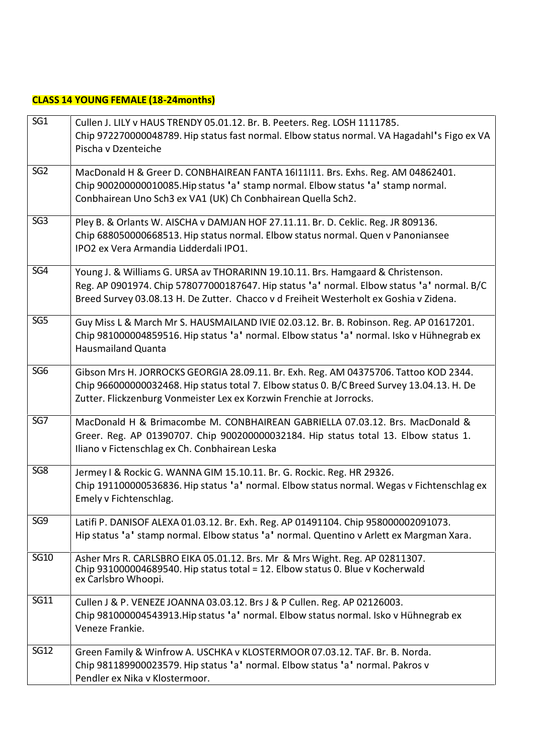## **CLASS 14 YOUNG FEMALE (18-24months)**

| SG <sub>1</sub> | Cullen J. LILY v HAUS TRENDY 05.01.12. Br. B. Peeters. Reg. LOSH 1111785.<br>Chip 972270000048789. Hip status fast normal. Elbow status normal. VA Hagadahl's Figo ex VA<br>Pischa v Dzenteiche                                                                         |
|-----------------|-------------------------------------------------------------------------------------------------------------------------------------------------------------------------------------------------------------------------------------------------------------------------|
| SG <sub>2</sub> | MacDonald H & Greer D. CONBHAIREAN FANTA 16111111. Brs. Exhs. Reg. AM 04862401.<br>Chip 900200000010085. Hip status 'a' stamp normal. Elbow status 'a' stamp normal.<br>Conbhairean Uno Sch3 ex VA1 (UK) Ch Conbhairean Quella Sch2.                                    |
| SG <sub>3</sub> | Pley B. & Orlants W. AISCHA v DAMJAN HOF 27.11.11. Br. D. Ceklic. Reg. JR 809136.<br>Chip 688050000668513. Hip status normal. Elbow status normal. Quen v Panoniansee<br>IPO2 ex Vera Armandia Lidderdali IPO1.                                                         |
| SG4             | Young J. & Williams G. URSA av THORARINN 19.10.11. Brs. Hamgaard & Christenson.<br>Reg. AP 0901974. Chip 578077000187647. Hip status 'a' normal. Elbow status 'a' normal. B/C<br>Breed Survey 03.08.13 H. De Zutter. Chacco v d Freiheit Westerholt ex Goshia v Zidena. |
| SG5             | Guy Miss L & March Mr S. HAUSMAILAND IVIE 02.03.12. Br. B. Robinson. Reg. AP 01617201.<br>Chip 981000004859516. Hip status 'a' normal. Elbow status 'a' normal. Isko v Hühnegrab ex<br><b>Hausmailand Quanta</b>                                                        |
| SG <sub>6</sub> | Gibson Mrs H. JORROCKS GEORGIA 28.09.11. Br. Exh. Reg. AM 04375706. Tattoo KOD 2344.<br>Chip 966000000032468. Hip status total 7. Elbow status 0. B/C Breed Survey 13.04.13. H. De<br>Zutter. Flickzenburg Vonmeister Lex ex Korzwin Frenchie at Jorrocks.              |
| SG7             | MacDonald H & Brimacombe M. CONBHAIREAN GABRIELLA 07.03.12. Brs. MacDonald &<br>Greer. Reg. AP 01390707. Chip 900200000032184. Hip status total 13. Elbow status 1.<br>Iliano v Fictenschlag ex Ch. Conbhairean Leska                                                   |
| SG8             | Jermey I & Rockic G. WANNA GIM 15.10.11. Br. G. Rockic. Reg. HR 29326.<br>Chip 191100000536836. Hip status 'a' normal. Elbow status normal. Wegas v Fichtenschlag ex<br>Emely v Fichtenschlag.                                                                          |
| SG9             | Latifi P. DANISOF ALEXA 01.03.12. Br. Exh. Reg. AP 01491104. Chip 958000002091073.<br>Hip status 'a' stamp normal. Elbow status 'a' normal. Quentino v Arlett ex Margman Xara.                                                                                          |
| <b>SG10</b>     | Asher Mrs R. CARLSBRO EIKA 05.01.12. Brs. Mr & Mrs Wight. Reg. AP 02811307.<br>Chip 931000004689540. Hip status total = 12. Elbow status 0. Blue v Kocherwald<br>ex Carlsbro Whoopi.                                                                                    |
| <b>SG11</b>     | Cullen J & P. VENEZE JOANNA 03.03.12. Brs J & P Cullen. Reg. AP 02126003.<br>Chip 981000004543913. Hip status 'a' normal. Elbow status normal. Isko v Hühnegrab ex<br>Veneze Frankie.                                                                                   |
| <b>SG12</b>     | Green Family & Winfrow A. USCHKA v KLOSTERMOOR 07.03.12. TAF. Br. B. Norda.<br>Chip 981189900023579. Hip status 'a' normal. Elbow status 'a' normal. Pakros v<br>Pendler ex Nika v Klostermoor.                                                                         |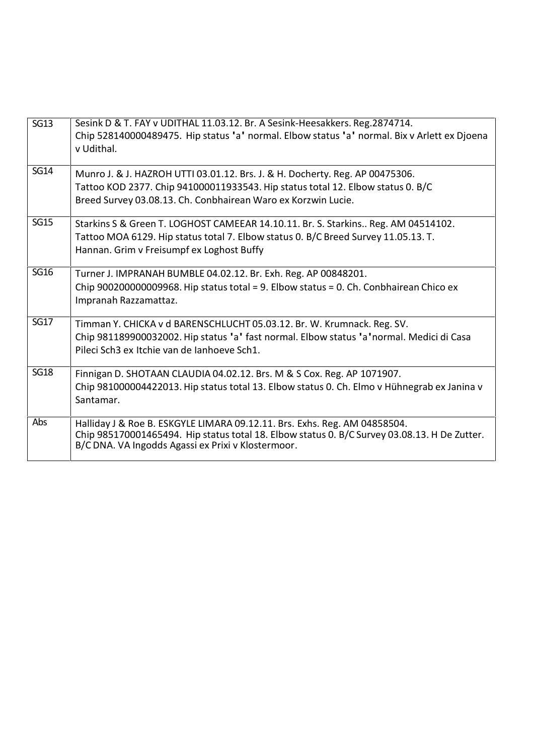| SG13        | Sesink D & T. FAY v UDITHAL 11.03.12. Br. A Sesink-Heesakkers. Reg.2874714.<br>Chip 528140000489475. Hip status 'a' normal. Elbow status 'a' normal. Bix v Arlett ex Djoena<br>v Udithal.                                        |
|-------------|----------------------------------------------------------------------------------------------------------------------------------------------------------------------------------------------------------------------------------|
| <b>SG14</b> | Munro J. & J. HAZROH UTTI 03.01.12. Brs. J. & H. Docherty. Reg. AP 00475306.<br>Tattoo KOD 2377. Chip 941000011933543. Hip status total 12. Elbow status 0. B/C<br>Breed Survey 03.08.13. Ch. Conbhairean Waro ex Korzwin Lucie. |
| <b>SG15</b> | Starkins S & Green T. LOGHOST CAMEEAR 14.10.11. Br. S. Starkins Reg. AM 04514102.<br>Tattoo MOA 6129. Hip status total 7. Elbow status 0. B/C Breed Survey 11.05.13. T.<br>Hannan. Grim v Freisumpf ex Loghost Buffy             |
| <b>SG16</b> | Turner J. IMPRANAH BUMBLE 04.02.12. Br. Exh. Reg. AP 00848201.<br>Chip 900200000009968. Hip status total = 9. Elbow status = 0. Ch. Conbhairean Chico ex<br>Impranah Razzamattaz.                                                |
| <b>SG17</b> | Timman Y. CHICKA v d BARENSCHLUCHT 05.03.12. Br. W. Krumnack. Reg. SV.<br>Chip 981189900032002. Hip status 'a' fast normal. Elbow status 'a' normal. Medici di Casa<br>Pileci Sch3 ex Itchie van de Janhoeve Sch1.               |
| <b>SG18</b> | Finnigan D. SHOTAAN CLAUDIA 04.02.12. Brs. M & S Cox. Reg. AP 1071907.<br>Chip 981000004422013. Hip status total 13. Elbow status 0. Ch. Elmo v Hühnegrab ex Janina v<br>Santamar.                                               |
| Abs         | Halliday J & Roe B. ESKGYLE LIMARA 09.12.11. Brs. Exhs. Reg. AM 04858504.<br>Chip 985170001465494. Hip status total 18. Elbow status 0. B/C Survey 03.08.13. H De Zutter.<br>B/C DNA. VA Ingodds Agassi ex Prixi v Klostermoor.  |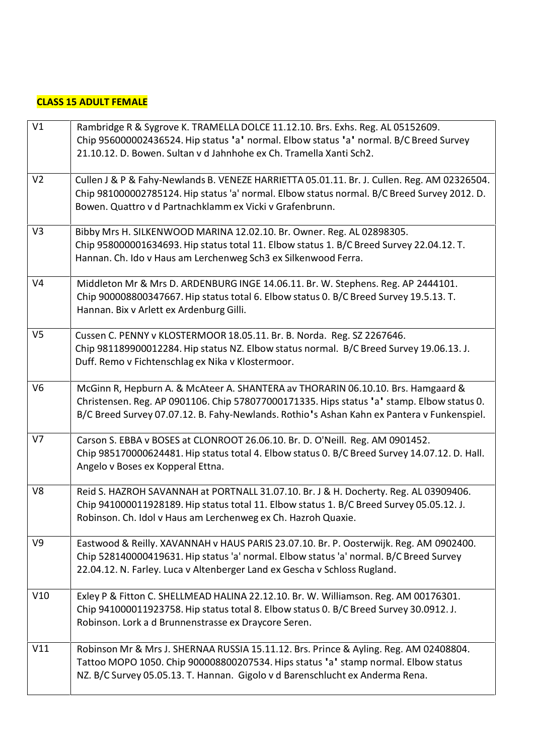### **CLASS 15 ADULT FEMALE**

| V1             | Rambridge R & Sygrove K. TRAMELLA DOLCE 11.12.10. Brs. Exhs. Reg. AL 05152609.<br>Chip 956000002436524. Hip status 'a' normal. Elbow status 'a' normal. B/C Breed Survey<br>21.10.12. D. Bowen. Sultan v d Jahnhohe ex Ch. Tramella Xanti Sch2.                              |
|----------------|------------------------------------------------------------------------------------------------------------------------------------------------------------------------------------------------------------------------------------------------------------------------------|
| V <sub>2</sub> | Cullen J & P & Fahy-Newlands B. VENEZE HARRIETTA 05.01.11. Br. J. Cullen. Reg. AM 02326504.<br>Chip 981000002785124. Hip status 'a' normal. Elbow status normal. B/C Breed Survey 2012. D.<br>Bowen. Quattro v d Partnachklamm ex Vicki v Grafenbrunn.                       |
| V3             | Bibby Mrs H. SILKENWOOD MARINA 12.02.10. Br. Owner. Reg. AL 02898305.<br>Chip 958000001634693. Hip status total 11. Elbow status 1. B/C Breed Survey 22.04.12. T.<br>Hannan. Ch. Ido v Haus am Lerchenweg Sch3 ex Silkenwood Ferra.                                          |
| V <sub>4</sub> | Middleton Mr & Mrs D. ARDENBURG INGE 14.06.11. Br. W. Stephens. Reg. AP 2444101.<br>Chip 900008800347667. Hip status total 6. Elbow status 0. B/C Breed Survey 19.5.13. T.<br>Hannan. Bix v Arlett ex Ardenburg Gilli.                                                       |
| V <sub>5</sub> | Cussen C. PENNY v KLOSTERMOOR 18.05.11. Br. B. Norda. Reg. SZ 2267646.<br>Chip 981189900012284. Hip status NZ. Elbow status normal. B/C Breed Survey 19.06.13. J.<br>Duff. Remo v Fichtenschlag ex Nika v Klostermoor.                                                       |
| V <sub>6</sub> | McGinn R, Hepburn A. & McAteer A. SHANTERA av THORARIN 06.10.10. Brs. Hamgaard &<br>Christensen. Reg. AP 0901106. Chip 578077000171335. Hips status 'a' stamp. Elbow status 0.<br>B/C Breed Survey 07.07.12. B. Fahy-Newlands. Rothio's Ashan Kahn ex Pantera v Funkenspiel. |
| V <sub>7</sub> | Carson S. EBBA v BOSES at CLONROOT 26.06.10. Br. D. O'Neill. Reg. AM 0901452.<br>Chip 985170000624481. Hip status total 4. Elbow status 0. B/C Breed Survey 14.07.12. D. Hall.<br>Angelo v Boses ex Kopperal Ettna.                                                          |
| V8             | Reid S. HAZROH SAVANNAH at PORTNALL 31.07.10. Br. J & H. Docherty. Reg. AL 03909406.<br>Chip 941000011928189. Hip status total 11. Elbow status 1. B/C Breed Survey 05.05.12. J.<br>Robinson. Ch. Idol v Haus am Lerchenweg ex Ch. Hazroh Quaxie.                            |
| V <sub>9</sub> | Eastwood & Reilly. XAVANNAH v HAUS PARIS 23.07.10. Br. P. Oosterwijk. Reg. AM 0902400.<br>Chip 528140000419631. Hip status 'a' normal. Elbow status 'a' normal. B/C Breed Survey<br>22.04.12. N. Farley. Luca v Altenberger Land ex Gescha v Schloss Rugland.                |
| V10            | Exley P & Fitton C. SHELLMEAD HALINA 22.12.10. Br. W. Williamson. Reg. AM 00176301.<br>Chip 941000011923758. Hip status total 8. Elbow status 0. B/C Breed Survey 30.0912. J.<br>Robinson. Lork a d Brunnenstrasse ex Draycore Seren.                                        |
| V11            | Robinson Mr & Mrs J. SHERNAA RUSSIA 15.11.12. Brs. Prince & Ayling. Reg. AM 02408804.<br>Tattoo MOPO 1050. Chip 900008800207534. Hips status 'a' stamp normal. Elbow status<br>NZ. B/C Survey 05.05.13. T. Hannan. Gigolo v d Barenschlucht ex Anderma Rena.                 |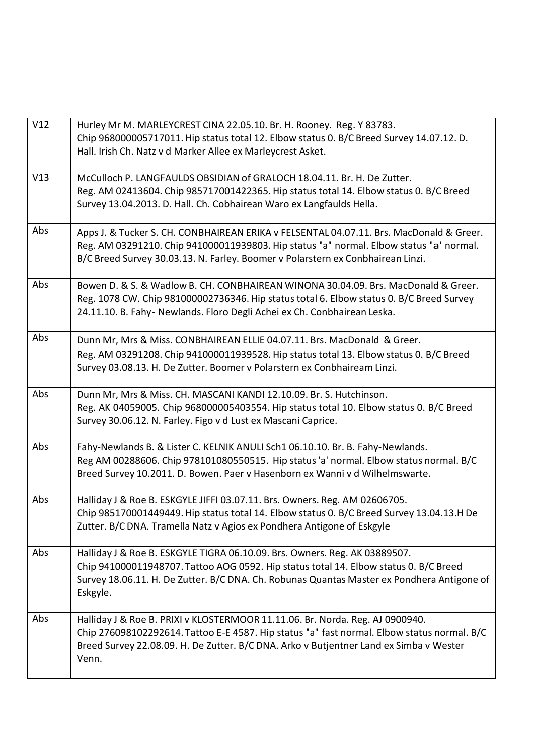| Chip 968000005717011. Hip status total 12. Elbow status 0. B/C Breed Survey 14.07.12. D.<br>Hall. Irish Ch. Natz v d Marker Allee ex Marleycrest Asket.<br>McCulloch P. LANGFAULDS OBSIDIAN of GRALOCH 18.04.11. Br. H. De Zutter. |
|------------------------------------------------------------------------------------------------------------------------------------------------------------------------------------------------------------------------------------|
|                                                                                                                                                                                                                                    |
|                                                                                                                                                                                                                                    |
|                                                                                                                                                                                                                                    |
| Reg. AM 02413604. Chip 985717001422365. Hip status total 14. Elbow status 0. B/C Breed<br>Survey 13.04.2013. D. Hall. Ch. Cobhairean Waro ex Langfaulds Hella.                                                                     |
|                                                                                                                                                                                                                                    |
| Apps J. & Tucker S. CH. CONBHAIREAN ERIKA v FELSENTAL 04.07.11. Brs. MacDonald & Greer.                                                                                                                                            |
| Reg. AM 03291210. Chip 941000011939803. Hip status 'a' normal. Elbow status 'a' normal.                                                                                                                                            |
| B/C Breed Survey 30.03.13. N. Farley. Boomer v Polarstern ex Conbhairean Linzi.                                                                                                                                                    |
| Bowen D. & S. & Wadlow B. CH. CONBHAIREAN WINONA 30.04.09. Brs. MacDonald & Greer.                                                                                                                                                 |
| Reg. 1078 CW. Chip 981000002736346. Hip status total 6. Elbow status 0. B/C Breed Survey                                                                                                                                           |
| 24.11.10. B. Fahy- Newlands. Floro Degli Achei ex Ch. Conbhairean Leska.                                                                                                                                                           |
| Dunn Mr, Mrs & Miss. CONBHAIREAN ELLIE 04.07.11. Brs. MacDonald & Greer.                                                                                                                                                           |
| Reg. AM 03291208. Chip 941000011939528. Hip status total 13. Elbow status 0. B/C Breed                                                                                                                                             |
| Survey 03.08.13. H. De Zutter. Boomer v Polarstern ex Conbhaiream Linzi.                                                                                                                                                           |
| Dunn Mr, Mrs & Miss. CH. MASCANI KANDI 12.10.09. Br. S. Hutchinson.                                                                                                                                                                |
| Reg. AK 04059005. Chip 968000005403554. Hip status total 10. Elbow status 0. B/C Breed                                                                                                                                             |
| Survey 30.06.12. N. Farley. Figo v d Lust ex Mascani Caprice.                                                                                                                                                                      |
| Fahy-Newlands B. & Lister C. KELNIK ANULI Sch1 06.10.10. Br. B. Fahy-Newlands.                                                                                                                                                     |
| Reg AM 00288606. Chip 978101080550515. Hip status 'a' normal. Elbow status normal. B/C                                                                                                                                             |
| Breed Survey 10.2011. D. Bowen. Paer v Hasenborn ex Wanni v d Wilhelmswarte.                                                                                                                                                       |
| Halliday J & Roe B. ESKGYLE JIFFI 03.07.11. Brs. Owners. Reg. AM 02606705.                                                                                                                                                         |
| Chip 985170001449449. Hip status total 14. Elbow status 0. B/C Breed Survey 13.04.13.H De                                                                                                                                          |
| Zutter. B/C DNA. Tramella Natz v Agios ex Pondhera Antigone of Eskgyle                                                                                                                                                             |
| Halliday J & Roe B. ESKGYLE TIGRA 06.10.09. Brs. Owners. Reg. AK 03889507.                                                                                                                                                         |
| Chip 941000011948707. Tattoo AOG 0592. Hip status total 14. Elbow status 0. B/C Breed                                                                                                                                              |
| Survey 18.06.11. H. De Zutter. B/C DNA. Ch. Robunas Quantas Master ex Pondhera Antigone of                                                                                                                                         |
| Eskgyle.                                                                                                                                                                                                                           |
| Halliday J & Roe B. PRIXI v KLOSTERMOOR 11.11.06. Br. Norda. Reg. AJ 0900940.                                                                                                                                                      |
| Chip 276098102292614. Tattoo E-E 4587. Hip status 'a' fast normal. Elbow status normal. B/C                                                                                                                                        |
| Breed Survey 22.08.09. H. De Zutter. B/C DNA. Arko v Butjentner Land ex Simba v Wester<br>Venn.                                                                                                                                    |
|                                                                                                                                                                                                                                    |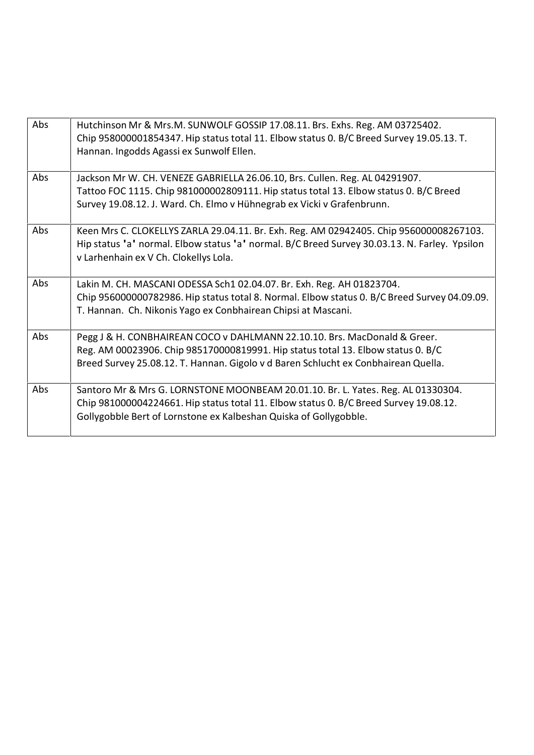| Abs | Hutchinson Mr & Mrs.M. SUNWOLF GOSSIP 17.08.11. Brs. Exhs. Reg. AM 03725402.<br>Chip 958000001854347. Hip status total 11. Elbow status 0. B/C Breed Survey 19.05.13. T.<br>Hannan. Ingodds Agassi ex Sunwolf Ellen.                                |
|-----|-----------------------------------------------------------------------------------------------------------------------------------------------------------------------------------------------------------------------------------------------------|
| Abs | Jackson Mr W. CH. VENEZE GABRIELLA 26.06.10, Brs. Cullen. Reg. AL 04291907.<br>Tattoo FOC 1115. Chip 981000002809111. Hip status total 13. Elbow status 0. B/C Breed<br>Survey 19.08.12. J. Ward. Ch. Elmo v Hühnegrab ex Vicki v Grafenbrunn.      |
| Abs | Keen Mrs C. CLOKELLYS ZARLA 29.04.11. Br. Exh. Reg. AM 02942405. Chip 956000008267103.<br>Hip status 'a' normal. Elbow status 'a' normal. B/C Breed Survey 30.03.13. N. Farley. Ypsilon<br>v Larhenhain ex V Ch. Clokellys Lola.                    |
| Abs | Lakin M. CH. MASCANI ODESSA Sch1 02.04.07. Br. Exh. Reg. AH 01823704.<br>Chip 956000000782986. Hip status total 8. Normal. Elbow status 0. B/C Breed Survey 04.09.09.<br>T. Hannan. Ch. Nikonis Yago ex Conbhairean Chipsi at Mascani.              |
| Abs | Pegg J & H. CONBHAIREAN COCO v DAHLMANN 22.10.10. Brs. MacDonald & Greer.<br>Reg. AM 00023906. Chip 985170000819991. Hip status total 13. Elbow status 0. B/C<br>Breed Survey 25.08.12. T. Hannan. Gigolo v d Baren Schlucht ex Conbhairean Quella. |
| Abs | Santoro Mr & Mrs G. LORNSTONE MOONBEAM 20.01.10. Br. L. Yates. Reg. AL 01330304.<br>Chip 981000004224661. Hip status total 11. Elbow status 0. B/C Breed Survey 19.08.12.<br>Gollygobble Bert of Lornstone ex Kalbeshan Quiska of Gollygobble.      |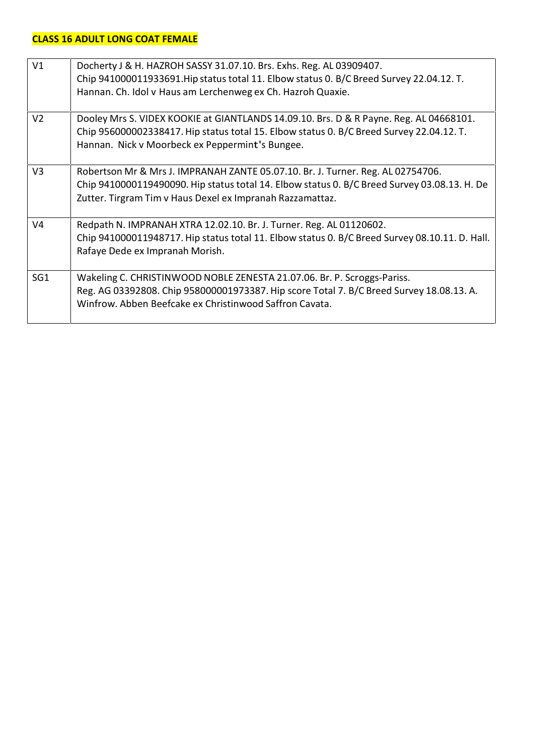## **CLASS 16 ADULT LONG COAT FEMALE**

| V1              | Docherty J & H. HAZROH SASSY 31.07.10. Brs. Exhs. Reg. AL 03909407.<br>Chip 941000011933691. Hip status total 11. Elbow status 0. B/C Breed Survey 22.04.12. T.<br>Hannan. Ch. Idol v Haus am Lerchenweg ex Ch. Hazroh Quaxie.               |
|-----------------|----------------------------------------------------------------------------------------------------------------------------------------------------------------------------------------------------------------------------------------------|
| V <sub>2</sub>  | Dooley Mrs S. VIDEX KOOKIE at GIANTLANDS 14.09.10. Brs. D & R Payne. Reg. AL 04668101.<br>Chip 956000002338417. Hip status total 15. Elbow status 0. B/C Breed Survey 22.04.12. T.<br>Hannan. Nick v Moorbeck ex Peppermint's Bungee.        |
| V <sub>3</sub>  | Robertson Mr & Mrs J. IMPRANAH ZANTE 05.07.10. Br. J. Turner. Reg. AL 02754706.<br>Chip 9410000119490090. Hip status total 14. Elbow status 0. B/C Breed Survey 03.08.13. H. De<br>Zutter. Tirgram Tim v Haus Dexel ex Impranah Razzamattaz. |
| V <sub>4</sub>  | Redpath N. IMPRANAH XTRA 12.02.10. Br. J. Turner. Reg. AL 01120602.<br>Chip 941000011948717. Hip status total 11. Elbow status 0. B/C Breed Survey 08.10.11. D. Hall.<br>Rafaye Dede ex Impranah Morish.                                     |
| SG <sub>1</sub> | Wakeling C. CHRISTINWOOD NOBLE ZENESTA 21.07.06. Br. P. Scroggs-Pariss.<br>Reg. AG 03392808. Chip 958000001973387. Hip score Total 7. B/C Breed Survey 18.08.13. A.<br>Winfrow. Abben Beefcake ex Christinwood Saffron Cavata.               |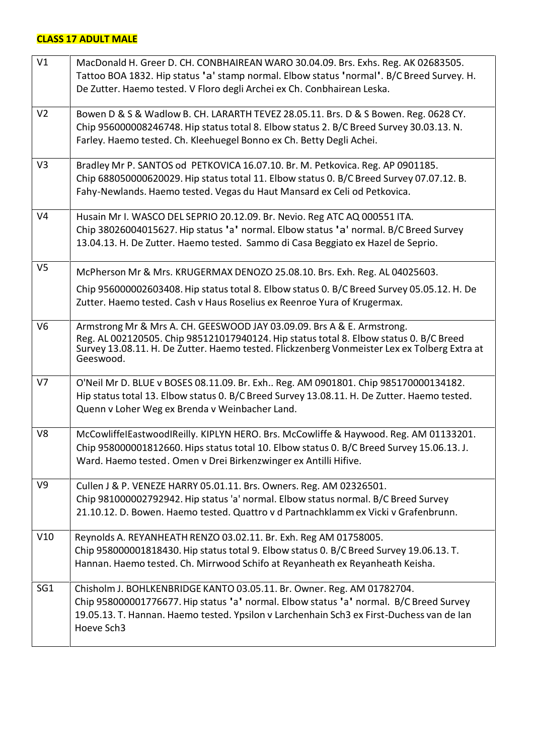## **CLASS 17 ADULT MALE**

| V1              | MacDonald H. Greer D. CH. CONBHAIREAN WARO 30.04.09. Brs. Exhs. Reg. AK 02683505.                                                                                      |
|-----------------|------------------------------------------------------------------------------------------------------------------------------------------------------------------------|
|                 | Tattoo BOA 1832. Hip status 'a' stamp normal. Elbow status 'normal'. B/C Breed Survey. H.                                                                              |
|                 | De Zutter. Haemo tested. V Floro degli Archei ex Ch. Conbhairean Leska.                                                                                                |
| V <sub>2</sub>  | Bowen D & S & Wadlow B. CH. LARARTH TEVEZ 28.05.11. Brs. D & S Bowen. Reg. 0628 CY.                                                                                    |
|                 | Chip 956000008246748. Hip status total 8. Elbow status 2. B/C Breed Survey 30.03.13. N.                                                                                |
|                 | Farley. Haemo tested. Ch. Kleehuegel Bonno ex Ch. Betty Degli Achei.                                                                                                   |
| V <sub>3</sub>  | Bradley Mr P. SANTOS od PETKOVICA 16.07.10. Br. M. Petkovica. Reg. AP 0901185.                                                                                         |
|                 | Chip 688050000620029. Hip status total 11. Elbow status 0. B/C Breed Survey 07.07.12. B.                                                                               |
|                 | Fahy-Newlands. Haemo tested. Vegas du Haut Mansard ex Celi od Petkovica.                                                                                               |
| V <sub>4</sub>  | Husain Mr I. WASCO DEL SEPRIO 20.12.09. Br. Nevio. Reg ATC AQ 000551 ITA.                                                                                              |
|                 | Chip 38026004015627. Hip status 'a' normal. Elbow status 'a' normal. B/C Breed Survey                                                                                  |
|                 | 13.04.13. H. De Zutter. Haemo tested. Sammo di Casa Beggiato ex Hazel de Seprio.                                                                                       |
| V <sub>5</sub>  | McPherson Mr & Mrs. KRUGERMAX DENOZO 25.08.10. Brs. Exh. Reg. AL 04025603.                                                                                             |
|                 |                                                                                                                                                                        |
|                 | Chip 956000002603408. Hip status total 8. Elbow status 0. B/C Breed Survey 05.05.12. H. De<br>Zutter. Haemo tested. Cash v Haus Roselius ex Reenroe Yura of Krugermax. |
| V <sub>6</sub>  | Armstrong Mr & Mrs A. CH. GEESWOOD JAY 03.09.09. Brs A & E. Armstrong.                                                                                                 |
|                 | Reg. AL 002120505. Chip 985121017940124. Hip status total 8. Elbow status 0. B/C Breed                                                                                 |
|                 | Survey 13.08.11. H. De Zutter. Haemo tested. Flickzenberg Vonmeister Lex ex Tolberg Extra at                                                                           |
|                 | Geeswood.                                                                                                                                                              |
| V <sub>7</sub>  | O'Neil Mr D. BLUE v BOSES 08.11.09. Br. Exh Reg. AM 0901801. Chip 985170000134182.                                                                                     |
|                 | Hip status total 13. Elbow status 0. B/C Breed Survey 13.08.11. H. De Zutter. Haemo tested.                                                                            |
|                 | Quenn v Loher Weg ex Brenda v Weinbacher Land.                                                                                                                         |
| V <sub>8</sub>  | McCowliffelEastwoodIReilly. KIPLYN HERO. Brs. McCowliffe & Haywood. Reg. AM 01133201.                                                                                  |
|                 | Chip 958000001812660. Hips status total 10. Elbow status 0. B/C Breed Survey 15.06.13. J.                                                                              |
|                 | Ward. Haemo tested. Omen v Drei Birkenzwinger ex Antilli Hifive.                                                                                                       |
| V <sub>9</sub>  | Cullen J & P. VENEZE HARRY 05.01.11. Brs. Owners. Reg. AM 02326501.                                                                                                    |
|                 | Chip 981000002792942. Hip status 'a' normal. Elbow status normal. B/C Breed Survey                                                                                     |
|                 | 21.10.12. D. Bowen. Haemo tested. Quattro v d Partnachklamm ex Vicki v Grafenbrunn.                                                                                    |
| V10             | Reynolds A. REYANHEATH RENZO 03.02.11. Br. Exh. Reg AM 01758005.                                                                                                       |
|                 | Chip 958000001818430. Hip status total 9. Elbow status 0. B/C Breed Survey 19.06.13. T.                                                                                |
|                 | Hannan. Haemo tested. Ch. Mirrwood Schifo at Reyanheath ex Reyanheath Keisha.                                                                                          |
| SG <sub>1</sub> | Chisholm J. BOHLKENBRIDGE KANTO 03.05.11. Br. Owner. Reg. AM 01782704.                                                                                                 |
|                 | Chip 958000001776677. Hip status 'a' normal. Elbow status 'a' normal. B/C Breed Survey                                                                                 |
|                 | 19.05.13. T. Hannan. Haemo tested. Ypsilon v Larchenhain Sch3 ex First-Duchess van de Ian                                                                              |
|                 | Hoeve Sch3                                                                                                                                                             |
|                 |                                                                                                                                                                        |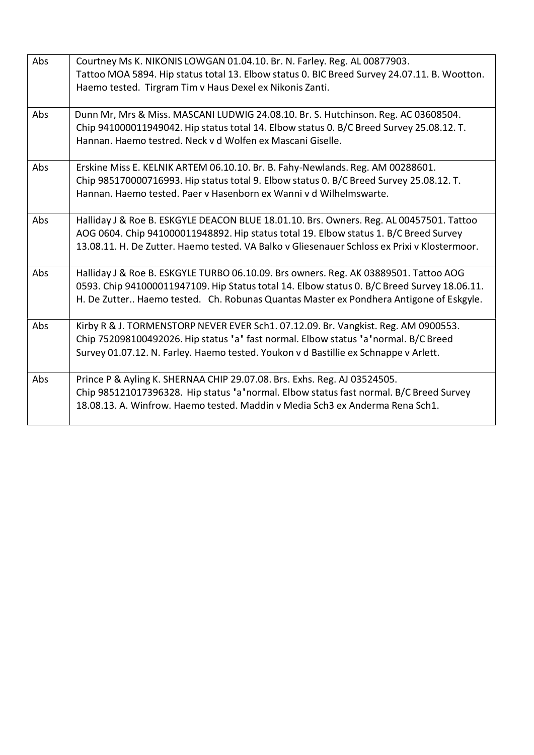| Abs | Courtney Ms K. NIKONIS LOWGAN 01.04.10. Br. N. Farley. Reg. AL 00877903.<br>Tattoo MOA 5894. Hip status total 13. Elbow status 0. BIC Breed Survey 24.07.11. B. Wootton.<br>Haemo tested. Tirgram Tim v Haus Dexel ex Nikonis Zanti.                                             |
|-----|----------------------------------------------------------------------------------------------------------------------------------------------------------------------------------------------------------------------------------------------------------------------------------|
| Abs | Dunn Mr, Mrs & Miss. MASCANI LUDWIG 24.08.10. Br. S. Hutchinson. Reg. AC 03608504.<br>Chip 941000011949042. Hip status total 14. Elbow status 0. B/C Breed Survey 25.08.12. T.<br>Hannan, Haemo testred. Neck v d Wolfen ex Mascani Giselle.                                     |
| Abs | Erskine Miss E. KELNIK ARTEM 06.10.10. Br. B. Fahy-Newlands. Reg. AM 00288601.<br>Chip 985170000716993. Hip status total 9. Elbow status 0. B/C Breed Survey 25.08.12. T.<br>Hannan, Haemo tested, Paer y Hasenborn ex Wanni y d Wilhelmswarte.                                  |
| Abs | Halliday J & Roe B. ESKGYLE DEACON BLUE 18.01.10. Brs. Owners. Reg. AL 00457501. Tattoo<br>AOG 0604. Chip 941000011948892. Hip status total 19. Elbow status 1. B/C Breed Survey<br>13.08.11. H. De Zutter. Haemo tested. VA Balko v Gliesenauer Schloss ex Prixi v Klostermoor. |
| Abs | Halliday J & Roe B. ESKGYLE TURBO 06.10.09. Brs owners. Reg. AK 03889501. Tattoo AOG<br>0593. Chip 941000011947109. Hip Status total 14. Elbow status 0. B/C Breed Survey 18.06.11.<br>H. De Zutter Haemo tested. Ch. Robunas Quantas Master ex Pondhera Antigone of Eskgyle.    |
| Abs | Kirby R & J. TORMENSTORP NEVER EVER Sch1. 07.12.09. Br. Vangkist. Reg. AM 0900553.<br>Chip 752098100492026. Hip status 'a' fast normal. Elbow status 'a' normal. B/C Breed<br>Survey 01.07.12. N. Farley. Haemo tested. Youkon v d Bastillie ex Schnappe v Arlett.               |
| Abs | Prince P & Ayling K. SHERNAA CHIP 29.07.08. Brs. Exhs. Reg. AJ 03524505.<br>Chip 985121017396328. Hip status 'a'normal. Elbow status fast normal. B/C Breed Survey<br>18.08.13. A. Winfrow. Haemo tested. Maddin y Media Sch3 ex Anderma Rena Sch1.                              |
|     |                                                                                                                                                                                                                                                                                  |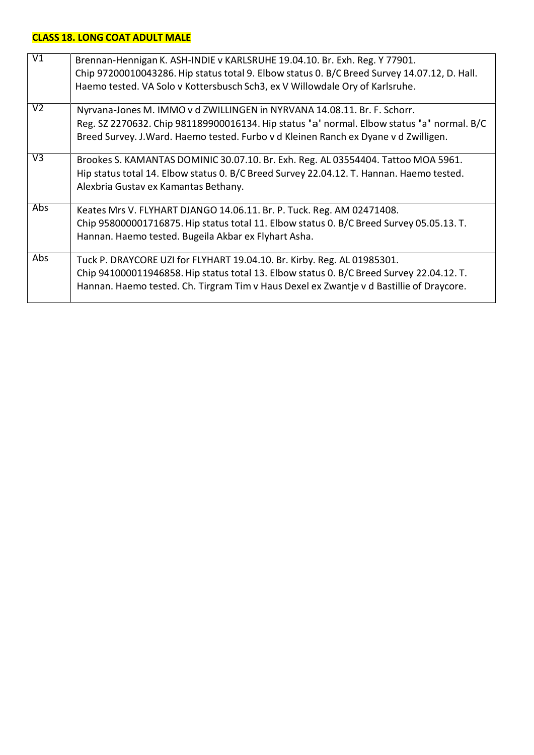# **CLASS 18.LONG COAT ADULT MALE**

| $\overline{V1}$ | Brennan-Hennigan K. ASH-INDIE v KARLSRUHE 19.04.10. Br. Exh. Reg. Y 77901.<br>Chip 97200010043286. Hip status total 9. Elbow status 0. B/C Breed Survey 14.07.12, D. Hall.<br>Haemo tested. VA Solo v Kottersbusch Sch3, ex V Willowdale Ory of Karlsruhe.      |
|-----------------|-----------------------------------------------------------------------------------------------------------------------------------------------------------------------------------------------------------------------------------------------------------------|
| V <sub>2</sub>  | Nyrvana-Jones M. IMMO v d ZWILLINGEN in NYRVANA 14.08.11. Br. F. Schorr.<br>Reg. SZ 2270632. Chip 981189900016134. Hip status 'a' normal. Elbow status 'a' normal. B/C<br>Breed Survey. J. Ward. Haemo tested. Furbo v d Kleinen Ranch ex Dyane v d Zwilligen.  |
| V <sub>3</sub>  | Brookes S. KAMANTAS DOMINIC 30.07.10. Br. Exh. Reg. AL 03554404. Tattoo MOA 5961.<br>Hip status total 14. Elbow status 0. B/C Breed Survey 22.04.12. T. Hannan. Haemo tested.<br>Alexbria Gustav ex Kamantas Bethany.                                           |
| Abs             | Keates Mrs V. FLYHART DJANGO 14.06.11. Br. P. Tuck. Reg. AM 02471408.<br>Chip 958000001716875. Hip status total 11. Elbow status 0. B/C Breed Survey 05.05.13. T.<br>Hannan. Haemo tested. Bugeila Akbar ex Flyhart Asha.                                       |
| Abs             | Tuck P. DRAYCORE UZI for FLYHART 19.04.10. Br. Kirby. Reg. AL 01985301.<br>Chip 941000011946858. Hip status total 13. Elbow status 0. B/C Breed Survey 22.04.12. T.<br>Hannan. Haemo tested. Ch. Tirgram Tim v Haus Dexel ex Zwantje v d Bastillie of Draycore. |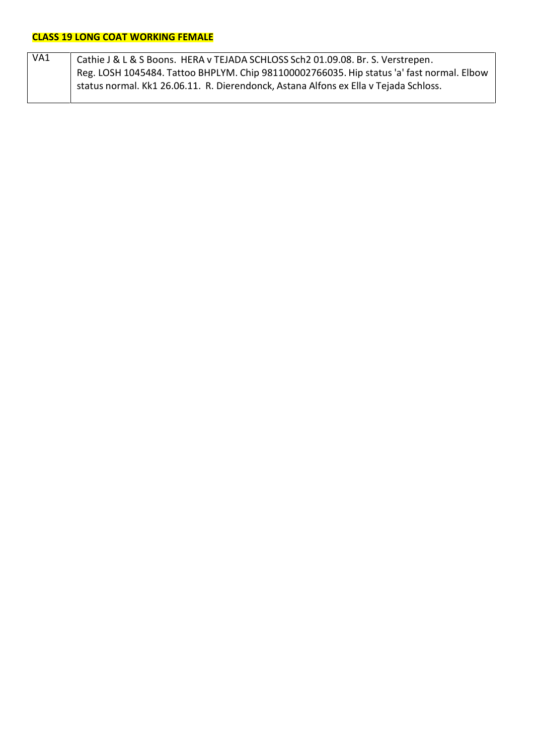| VA1 | Cathie J & L & S Boons. HERA v TEJADA SCHLOSS Sch2 01.09.08. Br. S. Verstrepen.           |
|-----|-------------------------------------------------------------------------------------------|
|     | Reg. LOSH 1045484. Tattoo BHPLYM. Chip 981100002766035. Hip status 'a' fast normal. Elbow |
|     | status normal. Kk1 26.06.11. R. Dierendonck, Astana Alfons ex Ella v Tejada Schloss.      |
|     |                                                                                           |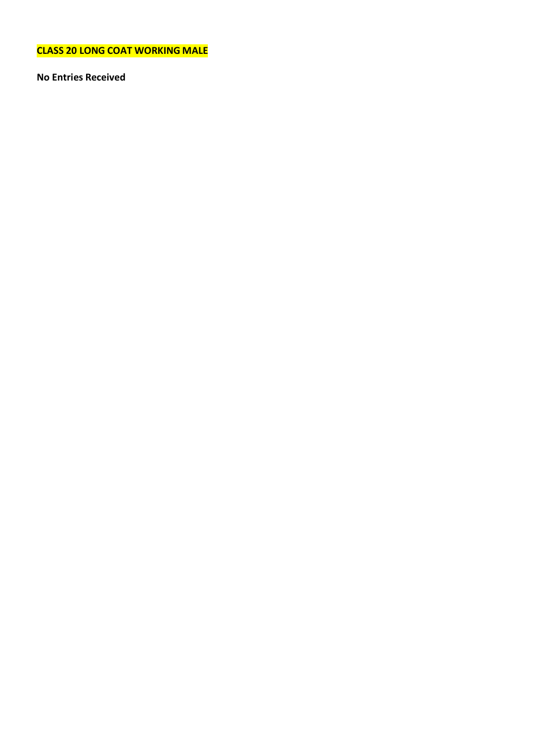**CLASS 20 LONG COAT WORKING MALE**

**No Entries Received**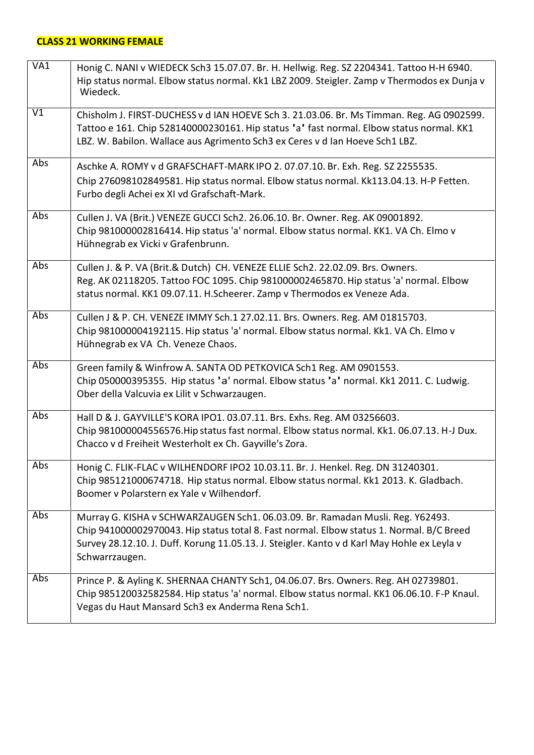## **CLASS 21 WORKING FEMALE**

| VA1        | Honig C. NANI v WIEDECK Sch3 15.07.07. Br. H. Hellwig. Reg. SZ 2204341. Tattoo H-H 6940.<br>Hip status normal. Elbow status normal. Kk1 LBZ 2009. Steigler. Zamp v Thermodos ex Dunja v<br>Wiedeck.                                                                                         |
|------------|---------------------------------------------------------------------------------------------------------------------------------------------------------------------------------------------------------------------------------------------------------------------------------------------|
| V1         | Chisholm J. FIRST-DUCHESS v d IAN HOEVE Sch 3. 21.03.06. Br. Ms Timman. Reg. AG 0902599.<br>Tattoo e 161. Chip 528140000230161. Hip status 'a' fast normal. Elbow status normal. KK1<br>LBZ. W. Babilon. Wallace aus Agrimento Sch3 ex Ceres v d Ian Hoeve Sch1 LBZ.                        |
| <b>Abs</b> | Aschke A. ROMY v d GRAFSCHAFT-MARK IPO 2. 07.07.10. Br. Exh. Reg. SZ 2255535.<br>Chip 276098102849581. Hip status normal. Elbow status normal. Kk113.04.13. H-P Fetten.<br>Furbo degli Achei ex XI vd Grafschaft-Mark.                                                                      |
| Abs        | Cullen J. VA (Brit.) VENEZE GUCCI Sch2. 26.06.10. Br. Owner. Reg. AK 09001892.<br>Chip 981000002816414. Hip status 'a' normal. Elbow status normal. KK1. VA Ch. Elmo v<br>Hühnegrab ex Vicki v Grafenbrunn.                                                                                 |
| <b>Abs</b> | Cullen J. & P. VA (Brit.& Dutch) CH. VENEZE ELLIE Sch2. 22.02.09. Brs. Owners.<br>Reg. AK 02118205. Tattoo FOC 1095. Chip 981000002465870. Hip status 'a' normal. Elbow<br>status normal. KK1 09.07.11. H.Scheerer. Zamp v Thermodos ex Veneze Ada.                                         |
| Abs        | Cullen J & P. CH. VENEZE IMMY Sch.1 27.02.11. Brs. Owners. Reg. AM 01815703.<br>Chip 981000004192115. Hip status 'a' normal. Elbow status normal. Kk1. VA Ch. Elmo v<br>Hühnegrab ex VA Ch. Veneze Chaos.                                                                                   |
| <b>Abs</b> | Green family & Winfrow A. SANTA OD PETKOVICA Sch1 Reg. AM 0901553.<br>Chip 050000395355. Hip status 'a' normal. Elbow status 'a' normal. Kk1 2011. C. Ludwig.<br>Ober della Valcuvia ex Lilit v Schwarzaugen.                                                                               |
| <b>Abs</b> | Hall D & J. GAYVILLE'S KORA IPO1. 03.07.11. Brs. Exhs. Reg. AM 03256603.<br>Chip 981000004556576. Hip status fast normal. Elbow status normal. Kk1. 06.07.13. H-J Dux.<br>Chacco v d Freiheit Westerholt ex Ch. Gayville's Zora.                                                            |
| Abs        | Honig C. FLIK-FLAC v WILHENDORF IPO2 10.03.11. Br. J. Henkel. Reg. DN 31240301.<br>Chip 985121000674718. Hip status normal. Elbow status normal. Kk1 2013. K. Gladbach.<br>Boomer v Polarstern ex Yale v Wilhendorf.                                                                        |
| Abs        | Murray G. KISHA v SCHWARZAUGEN Sch1. 06.03.09. Br. Ramadan Musli. Reg. Y62493.<br>Chip 941000002970043. Hip status total 8. Fast normal. Elbow status 1. Normal. B/C Breed<br>Survey 28.12.10. J. Duff. Korung 11.05.13. J. Steigler. Kanto v d Karl May Hohle ex Leyla v<br>Schwarrzaugen. |
| Abs        | Prince P. & Ayling K. SHERNAA CHANTY Sch1, 04.06.07. Brs. Owners. Reg. AH 02739801.<br>Chip 985120032582584. Hip status 'a' normal. Elbow status normal. KK1 06.06.10. F-P Knaul.<br>Vegas du Haut Mansard Sch3 ex Anderma Rena Sch1.                                                       |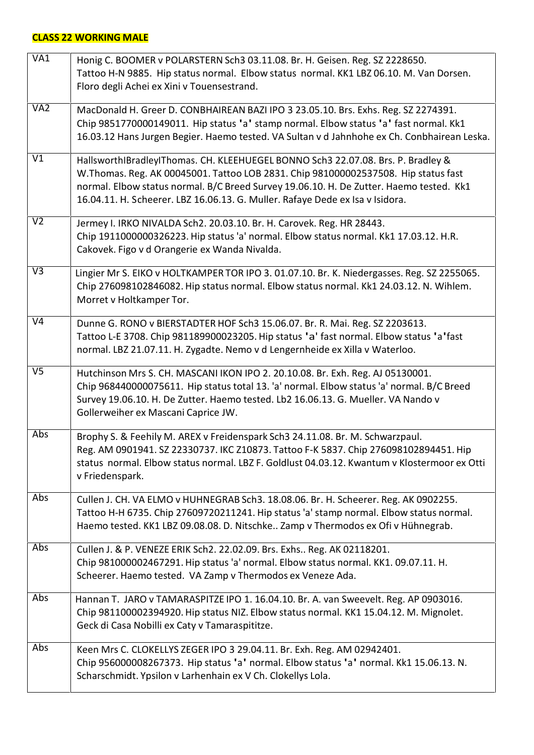# **CLASS 22 WORKING MALE**

| VAI                      | Honig C. BOOMER v POLARSTERN Sch3 03.11.08. Br. H. Geisen. Reg. SZ 2228650.<br>Tattoo H-N 9885. Hip status normal. Elbow status normal. KK1 LBZ 06.10. M. Van Dorsen.<br>Floro degli Achei ex Xini v Touensestrand.                                                                                                                                |
|--------------------------|----------------------------------------------------------------------------------------------------------------------------------------------------------------------------------------------------------------------------------------------------------------------------------------------------------------------------------------------------|
| VA <sub>2</sub>          | MacDonald H. Greer D. CONBHAIREAN BAZI IPO 3 23.05.10. Brs. Exhs. Reg. SZ 2274391.<br>Chip 9851770000149011. Hip status 'a' stamp normal. Elbow status 'a' fast normal. Kk1<br>16.03.12 Hans Jurgen Begier. Haemo tested. VA Sultan v d Jahnhohe ex Ch. Conbhairean Leska.                                                                         |
| V1                       | HallsworthIBradleyIThomas. CH. KLEEHUEGEL BONNO Sch3 22.07.08. Brs. P. Bradley &<br>W.Thomas. Reg. AK 00045001. Tattoo LOB 2831. Chip 981000002537508. Hip status fast<br>normal. Elbow status normal. B/C Breed Survey 19.06.10. H. De Zutter. Haemo tested. Kk1<br>16.04.11. H. Scheerer. LBZ 16.06.13. G. Muller. Rafaye Dede ex Isa v Isidora. |
| V <sub>2</sub>           | Jermey I. IRKO NIVALDA Sch2. 20.03.10. Br. H. Carovek. Reg. HR 28443.<br>Chip 1911000000326223. Hip status 'a' normal. Elbow status normal. Kk1 17.03.12. H.R.<br>Cakovek. Figo v d Orangerie ex Wanda Nivalda.                                                                                                                                    |
| $\overline{\vee}$        | Lingier Mr S. EIKO v HOLTKAMPER TOR IPO 3. 01.07.10. Br. K. Niedergasses. Reg. SZ 2255065.<br>Chip 276098102846082. Hip status normal. Elbow status normal. Kk1 24.03.12. N. Wihlem.<br>Morret v Holtkamper Tor.                                                                                                                                   |
| $\overline{\mathsf{V}4}$ | Dunne G. RONO v BIERSTADTER HOF Sch3 15.06.07. Br. R. Mai. Reg. SZ 2203613.<br>Tattoo L-E 3708. Chip 981189900023205. Hip status 'a' fast normal. Elbow status 'a'fast<br>normal. LBZ 21.07.11. H. Zygadte. Nemo v d Lengernheide ex Xilla v Waterloo.                                                                                             |
| V <sub>5</sub>           | Hutchinson Mrs S. CH. MASCANI IKON IPO 2. 20.10.08. Br. Exh. Reg. AJ 05130001.<br>Chip 968440000075611. Hip status total 13. 'a' normal. Elbow status 'a' normal. B/C Breed<br>Survey 19.06.10. H. De Zutter. Haemo tested. Lb2 16.06.13. G. Mueller. VA Nando v<br>Gollerweiher ex Mascani Caprice JW.                                            |
| Abs                      | Brophy S. & Feehily M. AREX v Freidenspark Sch3 24.11.08. Br. M. Schwarzpaul.<br>Reg. AM 0901941. SZ 22330737. IKC Z10873. Tattoo F-K 5837. Chip 276098102894451. Hip<br>status normal. Elbow status normal. LBZ F. Goldlust 04.03.12. Kwantum v Klostermoor ex Otti<br>v Friedenspark.                                                            |
| Abs                      | Cullen J. CH. VA ELMO v HUHNEGRAB Sch3. 18.08.06. Br. H. Scheerer. Reg. AK 0902255.<br>Tattoo H-H 6735. Chip 27609720211241. Hip status 'a' stamp normal. Elbow status normal.<br>Haemo tested. KK1 LBZ 09.08.08. D. Nitschke Zamp v Thermodos ex Ofi v Hühnegrab.                                                                                 |
| Abs                      | Cullen J. & P. VENEZE ERIK Sch2. 22.02.09. Brs. Exhs Reg. AK 02118201.<br>Chip 981000002467291. Hip status 'a' normal. Elbow status normal. KK1. 09.07.11. H.<br>Scheerer. Haemo tested. VA Zamp v Thermodos ex Veneze Ada.                                                                                                                        |
| Abs                      | Hannan T. JARO v TAMARASPITZE IPO 1. 16.04.10. Br. A. van Sweevelt. Reg. AP 0903016.<br>Chip 981100002394920. Hip status NIZ. Elbow status normal. KK1 15.04.12. M. Mignolet.<br>Geck di Casa Nobilli ex Caty v Tamaraspititze.                                                                                                                    |
| Abs                      | Keen Mrs C. CLOKELLYS ZEGER IPO 3 29.04.11. Br. Exh. Reg. AM 02942401.<br>Chip 956000008267373. Hip status 'a' normal. Elbow status 'a' normal. Kk1 15.06.13. N.<br>Scharschmidt. Ypsilon v Larhenhain ex V Ch. Clokellys Lola.                                                                                                                    |